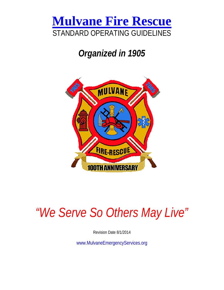

# *Organized in 1905*



# *"We Serve So Others May Live"*

Revision Date 8/1/2014

www.MulvaneEmergencyServices.org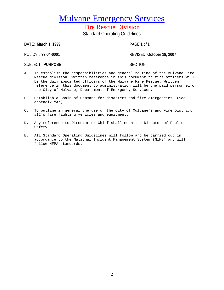Fire Rescue Division Standard Operating Guidelines

DATE: **March 1, 1999** PAGE **1** of **1**

POLICY # **99-04-0001** REVISED: **October 18, 2007**

SUBJECT: PURPOSE SECTION:

- A. To establish the responsibilities and general routine of the Mulvane Fire Rescue division. Written reference in this document to fire officers will be the duly appointed officers of the Mulvane Fire Rescue. Written reference in this document to administration will be the paid personnel of the City of Mulvane, Department of Emergency Services.
- B. Establish a Chain of Command for disasters and fire emergencies. (See appendix "A")
- C. To outline in general the use of the City of Mulvane's and Fire District #12's fire fighting vehicles and equipment.
- D. Any reference to Director or Chief shall mean the Director of Public Safety.
- E. All Standard Operating Guidelines will follow and be carried out in accordance to the National Incident Management System (NIMS) and will follow NFPA standards.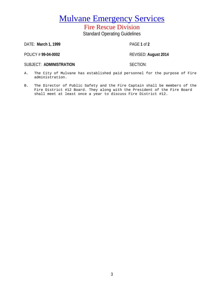Fire Rescue Division Standard Operating Guidelines

DATE: **March 1, 1999** PAGE **1** of **2**

POLICY # **99-04-0002** REVISED: **August 2014**

SUBJECT: ADMINISTRATION **SECTION:** 

- A. The City of Mulvane has established paid personnel for the purpose of Fire administration.
- B. The Director of Public Safety and the Fire Captain shall be members of the Fire District #12 Board. They along with the President of the Fire Board shall meet at least once a year to discuss Fire District #12.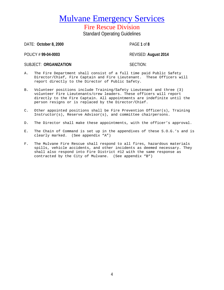Fire Rescue Division Standard Operating Guidelines

DATE: **October 8, 2000** PAGE **1** of **8**

POLICY # **99-04-0003** REVISED: **August 2014**

SUBJECT: ORGANIZATION **SUBJECT: ORGANIZATION** 

- A. The Fire Department shall consist of a full time paid Public Safety Director/Chief, Fire Captain and Fire Lieutenant. These Officers will report directly to the Director of Public Safety.
- B. Volunteer positions include Training/Safety Lieutenant and three (3) volunteer Fire Lieutenants/crew leaders. These officers will report directly to the Fire Captain. All appointments are indefinite until the person resigns or is replaced by the Director/Chief.
- C. Other appointed positions shall be Fire Prevention Officer(s), Training Instructor(s), Reserve Advisor(s), and committee chairpersons.
- D. The Director shall make these appointments, with the officer's approval.
- E. The Chain of Command is set up in the appendixes of these S.O.G.'s and is clearly marked. (See appendix "A")
- F. The Mulvane Fire Rescue shall respond to all fires, hazardous materials spills, vehicle accidents, and other incidents as deemed necessary. They shall also respond into Fire District #12 with the same response as contracted by the City of Mulvane. (See appendix "B")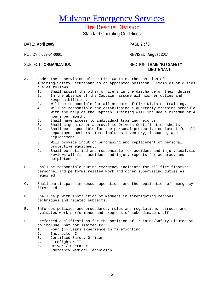# Fire Rescue Division

Standard Operating Guidelines

DATE: **April 2005** PAGE **2** of **8**

POLICY # **058-04-0001** REVISED: **August 2014**

### SUBJECT: **ORGANIZATION** SECTION: **TRAINING / SAFETY LIEUTENANT**

- A. Under the supervision of the Fire Captain, the position of Training/Safety Lieutenant is an appointed position. Examples of duties are as follows:<br>1 Shall ass
	- Shall assist the other officers in the discharge of their duties.
	- 2. In the absence of the Captain, assume all his/her duties and responsibilities.
	- 3. Will be responsible for all aspects of Fire Division training.
	- Will be responsible for establishing a quarterly training schedule with the help of the Captain. Training will include a minimum of 4 hours per month.
	- 5. Shall have access to individual training records.<br>6. Shall sign his/her approval to Drivers Certificat
	- 6. Shall sign his/her approval to Drivers Certification sheets.<br>7. Shall be responsible for the personal protective equipment f
	- Shall be responsible for the personal protective equipment for all department members. That includes inventory, issuance, and replacement.
	- 8. Will provide input on purchasing and replacement of personal protective equipment.
	- 9. Shall be notified and responsible for accident and injury analysis reviews all fire accident and injury reports for accuracy and completeness.
- B. Shall be responsible during emergency incidents for all fire fighting personnel and performs related work and other supervising duties as required.
- C. Shall participate in rescue operations and the application of emergency first aid.
- D. Shall help with instruction of members in firefighting methods, techniques and related subjects.
- E. Enforces policies and procedures, rules and regulations; directs and evaluates work performance and progress of subordinate staff.
- F. Preferred qualifications for the position of Training/Safety Lieutenant to include, but not limited to:<br>1. Four (4) years experience
	- 1. Four (4) years experience in firefighting<br>2. Instructor I
	- 2. Instructor I<br>3. Certified Sa
	- Certified Safety Officer
	- 4. Firefighter II
	- 5. Driver / Operator<br>6. Emergency Medical
	- 6. Emergency Medical Technician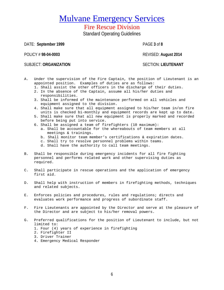# Fire Rescue Division

Standard Operating Guidelines

DATE: **September 1999** PAGE **3** of **8**

SUBJECT: **ORGANIZATION** SECTION: **LIEUTENANT**

POLICY # **98-04-0003** REVISED: **August 2014**

- A. Under the supervision of the Fire Captain, the position of Lieutenant is an appointed position. Examples of duties are as follows:
	- 1. Shall assist the other officers in the discharge of their duties.
	- 2. In the absence of the Captain, assume all his/her duties and responsibilities.
	- 3. Shall be informed of the maintenance performed on all vehicles and equipment assigned to the division.
	- 4. Shall make sure that all equipment assigned to his/her team in/on fire units is checked bi-monthly and equipment records are kept up to date.
	- 5. Shall make sure that all new equipment is properly marked and recorded before being put into service.
	- 6. Shall be assigned a team of firefighters (10 maximum):
		- a. Shall be accountable for the whereabouts of team members at all meetings & trainings.
		- b. Shall monitor team member's certifications & expiration dates.
		- c. Shall try to resolve personnel problems within teams.
		- d. Shall have the authority to call team meetings.
- B. Shall be responsible during emergency incidents for all fire fighting personnel and performs related work and other supervising duties as required.
- C. Shall participate in rescue operations and the application of emergency first aid.
- D. Shall help with instruction of members in firefighting methods, techniques and related subjects.
- E. Enforces policies and procedures, rules and regulations; directs and evaluates work performance and progress of subordinate staff.
- F. Fire Lieutenants are appointed by the Director and serve at the pleasure of the Director and are subject to his/her removal powers.
- G. Preferred qualifications for the position of Lieutenant to include, but not limited to:
	- 1. Four (4) years of experience in firefighting
	- 2. Firefighter II
	- 3. Driver Trainer
	- 4. Emergency Medical Responder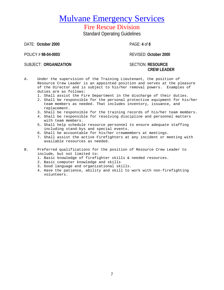## Fire Rescue Division Standard Operating Guidelines

DATE: **October 2000** PAGE: **4** of **8**

POLICY # **98-04-0003** REVISED: **October 2000**

SUBJECT: **ORGANIZATION** SECTION: **RESOURCE** 

# **CREW LEADER**

- A. Under the supervision of the Training Lieutenant, the position of Resource Crew Leader is an appointed position and serves at the pleasure of the Director and is subject to his/her removal powers. Examples of duties are as follows:
	- 1. Shall assist the Fire Department in the discharge of their duties.
	- 2. Shall be responsible for the personal protective equipment for his/her team members as needed. That includes inventory, issuance, and replacement.
	- 3. Shall be responsible for the training records of his/her team members.
	- 4. Shall be responsible for resolving discipline and personnel matters with team members.
	- 5. Shall help schedule resource personnel to ensure adequate staffing including stand-bys and special events.
	- 6. Shall be accountable for his/her crewmembers at meetings.
	- 7. Shall assist the active Firefighters at any incident or meeting with available resources as needed.
- B. Preferred qualifications for the position of Resource Crew Leader to include, but not limited to:
	- 1. Basic knowledge of firefighter skills & needed resources.
	- 2. Basic computer knowledge and skills
	- 3. Good language and organizational skills.
	- 4. Have the patience, ability and skill to work with non-firefighting volunteers.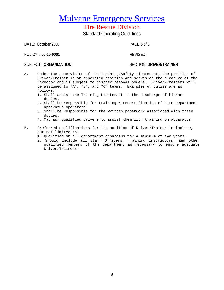## Fire Rescue Division Standard Operating Guidelines

DATE: **October 2000** PAGE **5** of **8**

POLICY # 00-10-0001 REVISED:

### SUBJECT: ORGANIZATION **SECTION: DRIVER/TRAINER**

- A. Under the supervision of the Training/Safety Lieutenant, the position of Driver/Trainer is an appointed position and serves at the pleasure of the Director and is subject to his/her removal powers. Driver/Trainers will be assigned to "A", "B", and "C" teams. Examples of duties are as follows:
	- 1. Shall assist the Training Lieutenant in the discharge of his/her duties.
	- 2. Shall be responsible for training & recertification of Fire Department apparatus operators.
	- 3. Shall be responsible for the written paperwork associated with these duties.
	- 4. May ask qualified drivers to assist them with training on apparatus.

### B. Preferred qualifications for the position of Driver/Trainer to include, but not limited to:

- 1. Qualified on all department apparatus for a minimum of two years.
- 2. Should include all Staff Officers, Training Instructors, and other qualified members of the department as necessary to ensure adequate Driver/Trainers.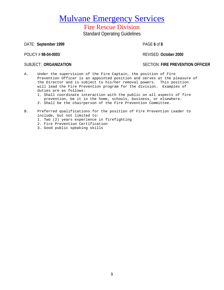## Fire Rescue Division Standard Operating Guidelines

DATE: **September 1999** PAGE **6** of **8**

POLICY # **98-04-0003** REVISED: **October 2000**

SUBJECT: **ORGANIZATION** SECTION: **FIRE PREVENTION OFFICER**

- A. Under the supervision of the Fire Captain, the position of Fire Prevention Officer is an appointed position and serves at the pleasure of the Director and is subject to his/her removal powers. This position will lead the Fire Prevention program for the division. Examples of duties are as follows:
	- 1. Shall coordinate interaction with the public on all aspects of fire prevention, be it in the home, schools, business, or elsewhere.
	- 2. Shall be the chairperson of the Fire Prevention Committee.
- B. Preferred qualifications for the position of Fire Prevention Leader to include, but not limited to:
	- 1. Two (2) years experience in firefighting
	- 2. Fire Prevention Certification
	- 3. Good public speaking skills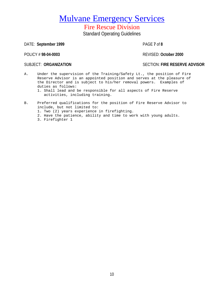## Fire Rescue Division Standard Operating Guidelines

DATE: **September 1999** PAGE **7** of **8**

POLICY # **98-04-0003** REVISED: **October 2000**

SUBJECT: **ORGANIZATION** SECTION: **FIRE RESERVE ADVISOR**

A. Under the supervision of the Training/Safety Lt., the position of Fire Reserve Advisor is an appointed position and serves at the pleasure of the Director and is subject to his/her removal powers. Examples of duties as follows:

1. Shall lead and be responsible for all aspects of Fire Reserve activities, including training.

- B. Preferred qualifications for the position of Fire Reserve Advisor to include, but not limited to:
	- 1. Two (2) years experience in firefighting.
	- 2. Have the patience, ability and time to work with young adults.
	- 3. Firefighter 1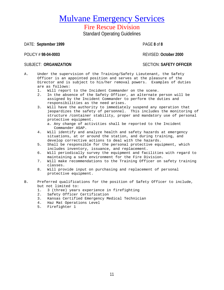# Fire Rescue Division

Standard Operating Guidelines

DATE: **September 1999** PAGE **8** of **8**

POLICY # **98-04-0003** REVISED: **October 2000**

### SUBJECT: ORGANIZATION **SUBJECT: ORGANIZATION**

- A. Under the supervision of the Training/Safety Lieutenant, the Safety Officer is an appointed position and serves at the pleasure of the Director and is subject to his/her removal powers. Examples of duties are as follows:<br>1. Will report
	- 1. Will report to the Incident Commander on the scene.<br>2. In the absence of the Safety Officer, an alternate
	- In the absence of the Safety Officer, an alternate person will be assigned by the Incident Commander to perform the duties and responsibilities as the need arises.
	- 3. Will have the authority to immediately suspend any operation that jeopardizes the safety of personnel. This includes the monitoring of structure /container stability, proper and mandatory use of personal protective equipment.
		- a. Any change of activities shall be reported to the Incident Commander ASAP.
	- 4. Will identify and analyze health and safety hazards at emergency situations, at or around the station, and during training, and develop corrective actions to deal with the hazards.
	- 5. Shall be responsible for the personal protective equipment, which includes inventory, issuance, and replacement.
	- 6. Will periodically survey the equipment and facilities with regard to maintaining a safe environment for the Fire Division.
	- 7. Will make recommendations to the Training Officer on safety training classes.
	- 8. Will provide input on purchasing and replacement of personal protective equipment.
- B. Preferred qualifications for the position of Safety Officer to include, but not limited to:
	- 1. 3 (three) years experience in firefighting
	- 2. Safety Officer Certification
	- 3. Kansas Certified Emergency Medical Technician
	- 4. Haz Mat Operations Level
	- 5. Firefighter 1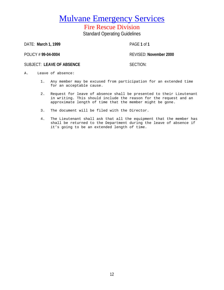Fire Rescue Division Standard Operating Guidelines

DATE: **March 1, 1999** PAGE **1** of **1**

POLICY # **99-04-0004** REVISED: **November 2000**

SUBJECT: LEAVE OF ABSENCE SUBJECT: SECTION:

- A. Leave of absence:
	- 1. Any member may be excused from participation for an extended time for an acceptable cause.
	- 2. Request for leave of absence shall be presented to their Lieutenant in writing. This should include the reason for the request and an approximate length of time that the member might be gone.
	- 3. The document will be filed with the Director.
	- 4. The Lieutenant shall ask that all the equipment that the member has shall be returned to the Department during the leave of absence if it's going to be an extended length of time.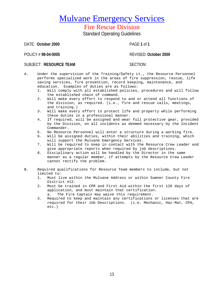## Fire Rescue Division Standard Operating Guidelines

DATE: **October 2000** PAGE **1** of **1**

POLICY # **98-04-0005** REVISED: **October 2000**

### SUBJECT: **RESOURCE TEAM** SECTION:

- A. Under the supervision of the Training/Safety Lt., the Resource Personnel performs specialized work in the areas of fire suppression, rescue, life saving services, fire prevention, record keeping, maintenance, and education. Examples of duties are as follows:<br>1. Will comply with all established policies.
	- Will comply with all established policies, procedures and will follow the established chain of command.
	- 2. Will make every effort to respond to and or attend all functions of the division, as required. (i.e., fire and rescue calls, meetings, and training.)
	- 3. Will make every effort to protect life and property while performing these duties in a professional manner.
	- 4. If required, will be assigned and wear full protective gear, provided by the Division, on all incidents as deemed necessary by the Incident Commander.
	- 5. No Resource Personnel will enter a structure during a working fire.<br>6. Will be assigned duties, within their abilities and training, which
	- Will be assigned duties, within their abilities and training, which will support the Mulvane Emergency Services.
	- 7. Will be required to keep in contact with the Resource Crew Leader and give appropriate reports when required by job descriptions.
	- 8. Disciplinary action will be handled by the Director in the same manner as a regular member, if attempts by the Resource Crew Leader cannot rectify the problem.
- B. Required qualifications for Resource Team members to include, but not limited to:
	- 1. Must live within the Mulvane Address or within Sumner County Fire District #12.
	- 2. Must be trained in CPR and First Aid within the first 120 days of application, and must maintain that certification**.** a. The Fire Captain may waive this requirement.
	- 3. Required to keep and maintain any certifications or licenses that are required for their Job Descriptions. (i.e. Mechanic, Haz-Mat, CPA, etc.)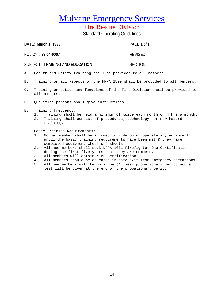## Fire Rescue Division

Standard Operating Guidelines

| DATE: March 1, 1999             | PAGF 1 of 1 |
|---------------------------------|-------------|
| POLICY # 99-04-0007             | REVISED:    |
| SUBJECT: TRAINING AND EDUCATION | SECTION:    |

- A. Health and Safety training shall be provided to all members.
- B. Training on all aspects of the NFPA 1500 shall be provided to all members.
- C. Training on duties and functions of the Fire Division shall be provided to all members.
- D. Qualified persons shall give instructions.
- E. Training frequency:
	- 1. Training shall be held a minimum of twice each month or 4 hrs a month.
	- 2. Training shall consist of procedures, technology, or new hazard training.
- F. Basic Training Requirements:<br>1. No new member shall be a
	- 1. No new member shall be allowed to ride on or operate any equipment until the basic training requirements have been met & they have completed equipment check off sheets.
	- 2. All new members shall seek NFPA 1001 Firefighter One Certification during the first five years that they are members.
	- 3. All members will obtain NIMS Certification.
	- 4. All members should be educated in safe exit from emergency operations.<br>5. All new members will be on a one (1) year probationary period and a
	- All new members will be on a one (1) year probationary period and a test will be given at the end of the probationary period.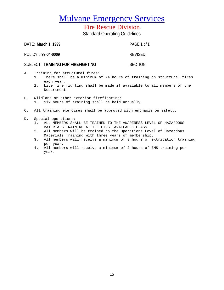# Fire Rescue Division

Standard Operating Guidelines

| DATE: March 1, 1999                | PAGE 1 of 1 |
|------------------------------------|-------------|
| POLICY #99-04-0009                 | REVISED:    |
| SUBJECT: TRAINING FOR FIREFIGHTING | SECTION:    |
| A. Training for structural fires:  |             |

- 1. There shall be a minimum of 24 hours of training on structural fires each year.
- 2. Live fire fighting shall be made if available to all members of the Department.
- B. Wildland or other exterior firefighting:<br>1. Six hours of training shall be held Six hours of training shall be held annually.
- C. All training exercises shall be approved with emphasis on safety.
- D. Special operations:
	- 1. ALL MEMBERS SHALL BE TRAINED TO THE AWARENESS LEVEL OF HAZARDOUS MATERIALS TRAINING AT THE FIRST AVAILABLE CLASS.
	- 2. All members will be trained to the Operations Level of Hazardous Materials Training with three years of membership.
	- 3. All members will receive a minimum of 3 hours of extrication training per year.
	- 4. All members will receive a minimum of 2 hours of EMS training per year.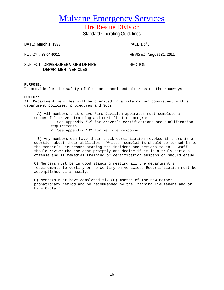Fire Rescue Division Standard Operating Guidelines

DATE: **March 1, 1999** PAGE **1** of **3**

POLICY # **99-04-0011** REVISED: **August 31, 2011**

### SUBJECT: DRIVER/OPERATORS OF FIRE SECTION: **DEPARTMENT VEHICLES**

### **PURPOSE:**

To provide for the safety of fire personnel and citizens on the roadways.

### **POLICY:**

All Department vehicles will be operated in a safe manner consistent with all department policies, procedures and SOGs.

A) All members that drive Fire Division apparatus must complete a successful driver training and certification program. 1. See Appendix "C" for driver's certifications and qualification requirements. 2. See Appendix "B" for vehicle response.

B) Any members can have their truck certification revoked if there is a question about their abilities. Written complaints should be turned in to the member's Lieutenant stating the incident and actions taken. Staff should review the incident promptly and decide if it is a truly serious offense and if remedial training or certification suspension should ensue.

C) Members must be in good standing meeting all the department's requirements to certify or re-certify on vehicles. Recertification must be accomplished bi-annually.

D) Members must have completed six (6) months of the new member probationary period and be recommended by the Training Lieutenant and or Fire Captain.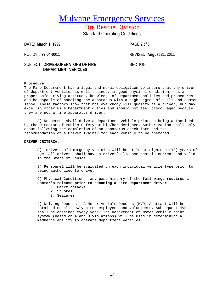Fire Rescue Division Standard Operating Guidelines

DATE: **March 1, 1999** PAGE **2** of **3**

POLICY # **99-04-0011** REVISED: **August 31, 2011**

### SUBJECT: DRIVER/OPERATORS OF FIRE SECTION: **DEPARTMENT VEHICLES**

### **Procedure:**

The Fire Department has a legal and moral obligation to insure that any driver of department vehicles is well trained, in good physical condition, has a proper safe driving attitude, knowledge of department policies and procedures and be capable of handling the apparatus with a high degree of skill and common sense. These factors show that not everybody will qualify as a driver, but may excel in other Fire Department duties and should not feel discouraged because they are not a fire apparatus driver.

A) No person shall drive a department vehicle prior to being authorized by the Director of Public Safety or his/her designee. Authorization shall only occur following the completion of an apparatus check form and the recommendation of a Driver Trainer for each vehicle to be operated.

### **DRIVER CRITERIA:**

A) Drivers of emergency vehicles will be at least eighteen (18) years of age. All drivers shall have a driver's license that is current and valid in the State of Kansas.

B) Personnel will be evaluated on each individual vehicle type prior to being authorized to drive.

C) Physical Condition – any past history of the following, **requires a Doctor's release prior to becoming a Fire Department driver.** 

- 1. Heart attacks
- 2. Strokes
- 3. Seizures

D) Driving Records - A Motor Vehicle Records (MVR) Abstract will be obtained on all newly hired employees and volunteers. Subsequent MVRs shall be obtained every year. The Department of Motor Vehicle point system (based on A and B violations) will be used in determining a member's ability to operate department vehicles.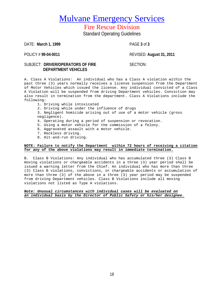# Fire Rescue Division

Standard Operating Guidelines

DATE: **March 1, 1999** PAGE **3** of **3**

POLICY # **99-04-0011** REVISED: **August 31, 2011**

### SUBJECT: DRIVER/OPERATORS OF FIRE SECTION: **DEPARTMENT VEHICLES**

A. Class A Violations: An individual who has a Class A violation within the past three (3) years normally receives a license suspension from the Department of Motor Vehicles which issued the license. Any individual convicted of a Class A Violation will be suspended from driving Department vehicles. Conviction may also result in termination from the department. Class A Violations include the following:

- 1. Driving while intoxicated
- 2. Driving while under the influence of drugs
- 3. Negligent homicide arising out of use of a motor vehicle (gross negligence).
- 4. Operating during a period of suspension or revocation.
- 5. Using a motor vehicle for the commission of a felony.
- 6. Aggravated assault with a motor vehicle.
- 7. Reckless driving.
- 8. Hit-and-run driving.

### **NOTE: Failure to notify the Department within 72 hours of receiving a citation for any of the above violations may result in immediate termination.**

B. Class B Violations: Any individual who has accumulated three (3) Class B moving violations or chargeable accidents in a three (3) year period shall be issued a warning letter from the Chief. An individual who has more than three (3) Class B violations, convictions, or chargeable accidents or accumulation of more than three (3) of the above in a three (3) year period may be suspended from driving Department vehicles. Class B Violations include all moving violations not listed as Type A violations.

### *Note: Unusual circumstances with individual cases will be evaluated on an individual basis by the Director of Public Safety or his/her designee.*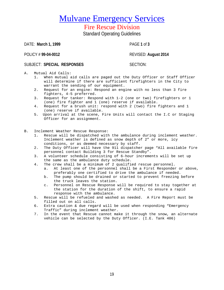# Fire Rescue Division

Standard Operating Guidelines

DATE: **March 1, 1999** PAGE **1** of **3**

POLICY # **99-04-0012** REVISED: **August 2014**

### SUBJECT: **SPECIAL RESPONSES** SECTION:

A. Mutual Aid Calls:

- 1. When mutual aid calls are paged out the Duty Officer or Staff Officer will determine if there are sufficient firefighters in the City to warrant the sending of our equipment.
- 2. Request for an engine: Respond an engine with no less than 3 fire fighters, 4-5 preferred.
- 3. Request for tanker: Respond with 1-2 (one or two) firefighters or 1 (one) fire fighter and 1 (one) reserve if available.
- 4. Request for a brush unit: respond with 2 (two) fire fighters and 1 (one) reserve if available.
- 5. Upon arrival at the scene, Fire Units will contact the I.C or Staging Officer for an assignment.
- B. Inclement Weather Rescue Response:<br>1. Rescue will be dispatched with
	- Rescue will be dispatched with the ambulance during inclement weather. Inclement weather is defined as snow depth of 2" or more, icy conditions, or as deemed necessary by staff.
	- 2. The Duty Officer will have the 911 dispatcher page "All available fire personnel contact Building 3 for Rescue Standby".
	- 3. A volunteer schedule consisting of 6-hour increments will be set up the same as the ambulance duty schedule.
	- 4. The crew shall be a minimum of 2 qualified rescue personnel.<br>a. At least one of the personnel shall be a First Responder
		- At least one of the personnel shall be a First Responder or above, preferably one certified to drive the ambulance if needed.
		- b. The pump should be drained or started to prevent freezing before the truck leaves the station.
		- c. Personnel on Rescue Response will be required to stay together at the station for the duration of the shift, to ensure a rapid response with the ambulance.
	- 5. Rescue will be refueled and washed as needed. A Fire Report must be filled out on all calls.
	- 6. Extra caution & due regard will be used when responding "Emergency Traffic" during inclement weather.
	- 7. In the event that Rescue cannot make it through the snow, an alternate vehicle can be selected by the Duty Officer. (I.E. Tank 406)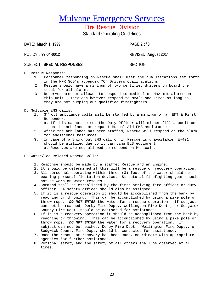# Fire Rescue Division

Standard Operating Guidelines

DATE: **March 1, 1999** PAGE **2** of **3**

POLICY # **99-04-0012** REVISED: **August 2014**

### SUBJECT: **SPECIAL RESPONSES** SECTION:

C. Rescue Response:

- 1. Personnel responding on Rescue shall meet the qualifications set forth in the MFR SOG's appendix "C" Drivers Qualifications.
- 2. Rescue should have a minimum of two certified drivers on board the truck for all alarms.
- 3. Reserves are not allowed to respond to medical or Haz-mat alarms on this unit. They can however respond to MVA's and Fires as long as they are not bumping out qualified firefighters.
- D. Multiple EMS Calls:<br> $1 \t3^{rd}$  out ambula
	- $3^{rd}$  out ambulance calls will be staffed by a minimum of an EMT & First Responder.
		- a. If this cannot be met the Duty Officer will either fill a position on the ambulance or request Mutual Aid EMS assistance.
	- 2. After the ambulance has been staffed, Rescue will respond on the alarm for additional resources.
	- 3. In case of a third out EMS call or if Rescue is unavailable, E-401 should be utilized due to it carrying BLS equipment. a. Reserves are not allowed to respond on Medicals.
- E. Water/Ice Related Rescue Calls:
	- 1. Response should be made by a staffed Rescue and an Engine.
	- 2. It should be determined if this will be a rescue or recovery operation.
	- 3. All personnel operating within three (3) feet of the water should be wearing personal floatation device. Structural firefighting gear should not be worn on water rescues.
	- 4. Command shall be established by the first arriving fire officer or duty officer. A safety officer should also be assigned.
	- 5. If it is a rescue operation it should be accomplished from the bank by reaching or throwing. This can be accomplished by using a pike pole or throw rope. *DO NOT ENTER* the water for a rescue operation. If subject can not be reached, Derby Fire Dept., Wellington Fire Dept., or Sedgwick County Fire Dept. should be contacted for assistance.
	- 6. If it is a recovery operation it should be accomplished from the bank by reaching or throwing. This can be accomplished by using a pike pole or throw rope. *DO NOT ENTER* the water for a recovery operation. If subject can not be reached, Derby Fire Dept., Wellington Fire Dept., or Sedgwick County Fire Dept. should be contacted for assistance.
	- 7. Once the rescue or recovery has been made, coordinate with appropriate agencies for further assistance.
	- 8. Personal safety and the safety of all others shall be observed at all times.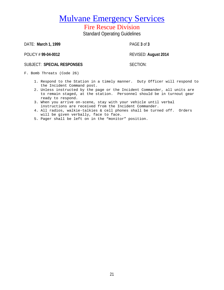# Fire Rescue Division

Standard Operating Guidelines

DATE: **March 1, 1999** PAGE **3** of **3**

POLICY # **99-04-0012** REVISED: **August 2014**

### SUBJECT: SPECIAL RESPONSES SECTION:

F. Bomb Threats (Code 26)

- 1. Respond to the Station in a timely manner. Duty Officer will respond to the Incident Command post.
- 2. Unless instructed by the page or the Incident Commander, all units are to remain staged, at the station. Personnel should be in turnout gear ready to respond.
- 3. When you arrive on-scene, stay with your vehicle until verbal instructions are received from the Incident Commander.
- 4. All radios, walkie-talkies & cell phones shall be turned off. Orders will be given verbally, face to face.
- 5. Pager shall be left on in the "monitor" position.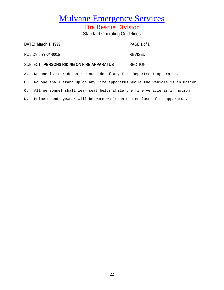Fire Rescue Division Standard Operating Guidelines

|    | DATE: March 1, 1999 |                                                                             |  | PAGE 1 of 1 |  |  |  |
|----|---------------------|-----------------------------------------------------------------------------|--|-------------|--|--|--|
|    | POLICY #99-04-0015  |                                                                             |  | REVISED:    |  |  |  |
|    |                     | SUBJECT: PERSONS RIDING ON FIRE APPARATUS                                   |  | SECTION:    |  |  |  |
|    |                     | A.  No one is to ride on the outside of any Fire Department apparatus.      |  |             |  |  |  |
| В. |                     | No one shall stand up on any Fire apparatus while the vehicle is in motion. |  |             |  |  |  |
|    |                     |                                                                             |  |             |  |  |  |

C. All personnel shall wear seat belts while the fire vehicle is in motion.

D. Helmets and eyewear will be worn while on non-enclosed fire apparatus.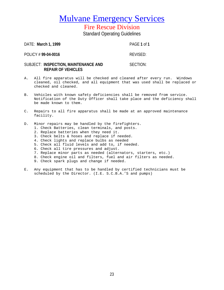Fire Rescue Division Standard Operating Guidelines

DATE: **March 1, 1999** PAGE **1** of **1** POLICY # 99-04-0016 **REVISED:** SUBJECT: **INSPECTION, MAINTENANCE AND** SECTION:

### A. All fire apparatus will be checked and cleaned after every run. Windows cleaned, oil checked, and all equipment that was used shall be replaced or checked and cleaned.

- B. Vehicles with known safety deficiencies shall be removed from service. Notification of the Duty Officer shall take place and the deficiency shall be made known to them.
- C. Repairs to all fire apparatus shall be made at an approved maintenance facility.
- D. Minor repairs may be handled by the firefighters.
	- 1. Check Batteries, clean terminals, and posts.
	- 2. Replace batteries when they need it.

**REPAIR OF VEHICLES**

- 3. Check belts & hoses and replace if needed.
- 4. Check lights and replace bulbs as needed
- 5. Check all fluid levels and add to, if needed.
- 6. Check all tire pressures and adjust.
- 7. Replace minor parts as needed (alternators, starters, etc.)
- 8. Check engine oil and filters, fuel and air filters as needed.
- 9. Check spark plugs and change if needed.
- E. Any equipment that has to be handled by certified technicians must be scheduled by the Director. (I.E. S.C.B.A.'S and pumps)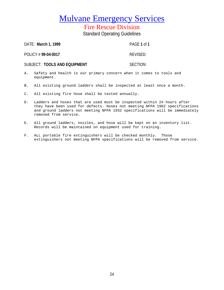Fire Rescue Division

Standard Operating Guidelines

DATE: **March 1, 1999** PAGE **1** of **1**

POLICY # 99-04-0017 REVISED:

SUBJECT: **TOOLS AND EQUIPMENT** SECTION:

- A. Safety and health is our primary concern when it comes to tools and equipment.
- B. All existing ground ladders shall be inspected at least once a month.
- C. All existing fire hose shall be tested annually.
- D. Ladders and hoses that are used must be inspected within 24 hours after they have been used for defects. Hoses not meeting NFPA 1962 specifications and ground ladders not meeting NFPA 1932 specifications will be immediately removed from service.
- E. All ground ladders, nozzles, and hose will be kept on an inventory list. Records will be maintained on equipment used for training.
- F. ALL portable fire extinguishers will be checked monthly. Those extinguishers not meeting NFPA specifications will be removed from service.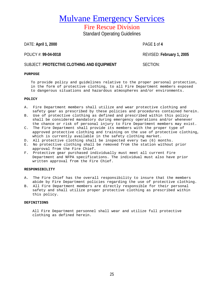Fire Rescue Division

Standard Operating Guidelines

DATE: **April 1, 2000** PAGE **1** of **4**

POLICY #: **99-04-0018** REVISED: **February 1, 2005**

### **SUBJECT: PROTECTIVE CLOTHING AND EQUIPMENT SECTION:**

### **PURPOSE**

To provide policy and guidelines relative to the proper personal protection,

- in the form of protective clothing, to all Fire Department members exposed
- to dangerous situations and hazardous atmospheres and/or environments.

### **POLICY**

- A. Fire Department members shall utilize and wear protective clothing and safety gear as prescribed by these policies and procedures contained herein.
- B. Use of protective clothing as defined and prescribed within this policy shall be considered mandatory during emergency operations and/or whenever the chance or risk of personal injury to Fire Department members may exist.
- C. The Fire Department shall provide its members with the proper type of approved protective clothing and training on the use of protective clothing, which is currently available in the safety clothing market.
- D. All protective clothing shall be inspected every two (6) months.
- E. No protective clothing shall be removed from the station without prior approval from the Fire Chief.
- F. Protective gear purchased individually must meet all current Fire Department and NFPA specifications. The individual must also have prior written approval from the Fire Chief.

### **RESPONSIBILITY**

- A. The Fire Chief has the overall responsibility to insure that the members abide by Fire Department policies regarding the use of protective clothing.
- B. All Fire Department members are directly responsible for their personal safety and shall utilize proper protective clothing as prescribed within this policy.

### **DEFINITIONS**

All Fire Department personnel shall wear and utilize full protective clothing as defined herein.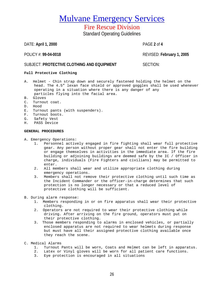# Fire Rescue Division

Standard Operating Guidelines

DATE: **April 1, 2000** PAGE **2** of **4**

POLICY #: **99-04-0018** REVISED: **February 1, 2005**

### **SUBJECT: PROTECTIVE CLOTHING AND EQUIPMENT SECTION:**

### **Full Protective Clothing**

- A. Helmet Chin strap down and securely fastened holding the helmet on the head. The 4.5" lexan face shield or approved goggles shall be used whenever operating in a situation where there is any danger of any particles flying into the facial area.
- B. Gloves
- C. Turnout coat.
- D. Hood
- E. Turnout pants (with suspenders).
- F. Turnout boots.
- G. Safety Vest
- H. PASS Device

### **GENERAL PROCEDURES**

- A. Emergency Operations:
	- 1. Personnel actively engaged in fire fighting shall wear full protective gear. Any person without proper gear shall not enter the fire building or engage themselves in activities in the immediate area. If the fire building or adjoining buildings are deemed safe by the IC / Officer in charge, individuals (Fire Fighters and civilians) may be permitted to enter.
	- 2. All members shall wear and utilize appropriate clothing during emergency operations.
	- 3. Members shall not remove their protective clothing until such time as the Incident Commander or the officer-in-charge determines that such protection is no longer necessary or that a reduced level of protective clothing will be sufficient.

### B. During alarm response:

- 1. Members responding in or on fire apparatus shall wear their protective clothing.
- 2. Operators are not required to wear their protective clothing while driving. After arriving on the fire ground, operators must put on their protective clothing.
- 3. Those members responding to alarms in enclosed vehicles, or partially enclosed apparatus are not required to wear helmets during response but must have all their assigned protective clothing available once they reach the scene.
- C. Medical Alarms
	- 1. Turnout Pants will be worn, Coats and Helmet can be left in apparatus.
	- 2. Latex or Vinyl gloves will be worn for all patient care functions.
	- 3. Eye protection is encouraged in all situations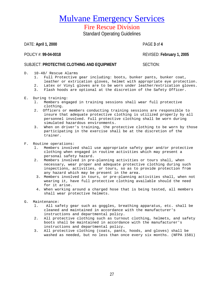Fire Rescue Division

Standard Operating Guidelines

DATE: **April 1, 2000** PAGE **3** of **4**

POLICY #: **99-04-0018** REVISED: **February 1, 2005**

### **SUBJECT: PROTECTIVE CLOTHING AND EQUIPMENT SECTION:**

- D. 10-48/ Rescue Alarms
	- 1. Full Protective gear including: boots, bunker pants, bunker coat, leather or extrication gloves, helmet with appropriate eye protection.
	- 2. Latex or Vinyl gloves are to be worn under leather/extrication gloves.<br>3. Flash hoods are optional at the discretion of the Safety Officer.
	- Flash hoods are optional at the discretion of the Safety Officer.
- E. During training:
	- l. Members engaged in training sessions shall wear full protective clothing.
	- 2. Officers or members conducting training sessions are responsible to insure that adequate protective clothing is utilized properly by all personnel involved. Full protective clothing shall be worn during simulated hazardous environments.
	- 3. When on driver's training, the protective clothing to be worn by those participating in the exercise shall be at the discretion of the trainer.
- F. Routine operations:
	- l. Members involved shall use appropriate safety gear and/or protective clothing when engaged in routine activities which may present a personal safety hazard.
	- 2. Members involved in pre-planning activities or tours shall, when necessary, wear proper and adequate protective clothing during such inspections, activities, or tours, so as to provide protection from any hazard which may be present in the area.
	- 3. Members involved in tours, or pre-planning activities shall, when not wearing it, have full protective clothing available should the need for it arise.
	- 4. When working around a charged hose that is being tested, all members shall wear protective helmets.
- G. Maintenance:<br>1. All sa
	- l. All safety gear such as goggles, breathing apparatus, etc. shall be cleaned and maintained in accordance with the manufacturer's instructions and departmental policy.
	- 2. All protective clothing such as turnout clothing, helmets, and safety boots shall be maintained in accordance with the manufacturer's instructions and departmental policy.
	- 3. All protective clothing (coats, pants, hoods, and gloves) shall be washed as needed, but no less than once every six months. (NFPA 1581)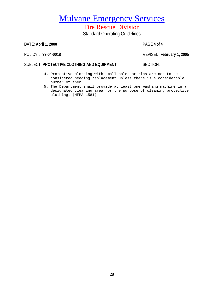Fire Rescue Division

Standard Operating Guidelines

DATE: **April 1, 2000** PAGE **4** of **4**

POLICY #: **99-04-0018** REVISED: **February 1, 2005**

### **SUBJECT: PROTECTIVE CLOTHING AND EQUIPMENT SECTION:**

- 4. Protective clothing with small holes or rips are not to be considered needing replacement unless there is a considerable number of them.
- 5. The Department shall provide at least one washing machine in a designated cleaning area for the purpose of cleaning protective clothing. (NFPA 1581)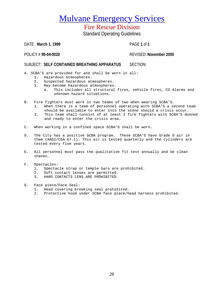Fire Rescue Division

Standard Operating Guidelines

DATE: **March 1, 1999** PAGE **1** of **1**

POLICY # **99-04-0020** REVISED: **November 2000**

### SUBJECT: **SELF CONTAINED BREATHING APPARATUS** SECTION:

A. SCBA'S are provided for and shall be worn in all:

- 1. Hazardous atmospheres.
- 2. Suspected hazardous atmospheres.
- 3. May become hazardous atmospheres.<br>a. This includes all structural
	- This includes all structural fires, vehicle fires, CO Alarms and unknown hazard situations.
- B. Fire fighters must work in two teams of two when wearing SCBA'S.
	- When there is a team of personnel operating with SCBA'S a second team should be available to enter into the scene should a crisis occur.
	- 2. This team shall consist of at least 2 fire fighters with SCBA'S donned and ready to enter the crisis area.
- C. When working in a confined space SCBA'S shall be worn.
- D. The City has a positive SCBA program. These SCBA'S have Grade D air in them (ANSI/CGA G7.l). This air is tested quarterly and the cylinders are tested every five years.
- E. All personnel must pass the qualitative fit test annually and be clean shaven.
- F. Spectacles:
	- 1. Spectacle strap or temple bars are prohibited.
	- 2. Soft contact lenses are permitted.
	- 3. HARD CONTACTS LENS ARE PROHIBITED.
- G. Face piece/Face Seal:
	- 1. Head covering breaking seal prohibited.
	- 2. Protective hood under SCBA face piece/head harness prohibited.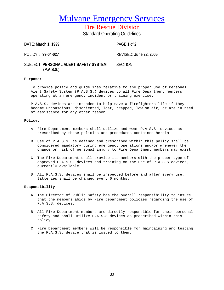Fire Rescue Division Standard Operating Guidelines

DATE: **March 1, 1999** PAGE **1** of **2**

POLICY #: **99-04-027** REVISED: **June 22, 2005**

### SUBJECT: **PERSONAL ALERT SAFETY SYSTEM** SECTION:  **(P.A.S.S.)**

### **Purpose:**

To provide policy and guidelines relative to the proper use of Personal Alert Safety System (P.A.S.S.) devices to all Fire Department members operating at an emergency incident or training exercise.

P.A.S.S. devices are intended to help save a firefighters life if they become unconscious, disoriented, lost, trapped, low on air, or are in need of assistance for any other reason.

### **Policy:**

- A. Fire Department members shall utilize and wear P.A.S.S. devices as prescribed by these policies and procedures contained herein.
- B. Use of P.A.S.S. as defined and prescribed within this policy shall be considered mandatory during emergency operations and/or whenever the chance or risk of personal injury to Fire Department members may exist.
- C. The Fire Department shall provide its members with the proper type of approved P.A.S.S. devices and training on the use of P.A.S.S devices, currently available.
- D. All P.A.S.S. devices shall be inspected before and after every use. Batteries shall be changed every 6 months.

### **Responsibility:**

- A. The Director of Public Safety has the overall responsibility to insure that the members abide by Fire Department policies regarding the use of P.A.S.S. devices.
- B. All Fire Department members are directly responsible for their personal safety and shall utilize P.A.S.S devices as prescribed within this policy.
- C. Fire Department members will be responsible for maintaining and testing the P.A.S.S. device that is issued to them.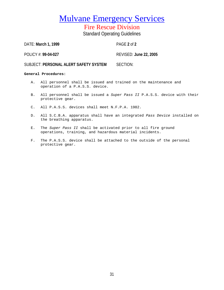Fire Rescue Division Standard Operating Guidelines

DATE: **March 1, 1999** PAGE **2** of **2**

POLICY #: **99-04-027** REVISED: **June 22, 2005**

SUBJECT: **PERSONAL ALERT SAFETY SYSTEM** SECTION:

### **General Procedures:**

- A. All personnel shall be issued and trained on the maintenance and operation of a P.A.S.S. device.
- B. All personnel shall be issued a *Super Pass II* P.A.S.S. device with their protective gear.
- C. All P.A.S.S. devices shall meet N.F.P.A. 1982.
- D. All S.C.B.A. apparatus shall have an integrated *Pass Device* installed on the breathing apparatus.
- E. The *Super Pass II* shall be activated prior to all fire ground operations, training, and hazardous material incidents.
- F. The P.A.S.S. device shall be attached to the outside of the personal protective gear.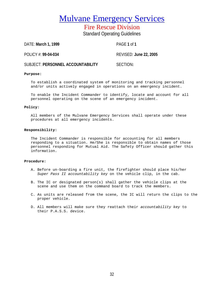Fire Rescue Division

Standard Operating Guidelines

DATE: **March 1, 1999** PAGE **1** of **1**

POLICY #: **99-04-034** REVISED: **June 22, 2005**

SUBJECT: **PERSONNEL ACCOUNTABILITY** SECTION:

### **Purpose:**

To establish a coordinated system of monitoring and tracking personnel and/or units actively engaged in operations on an emergency incident.

To enable the Incident Commander to identify, locate and account for all personnel operating on the scene of an emergency incident.

### **Policy:**

All members of the Mulvane Emergency Services shall operate under these procedures at all emergency incidents.

### **Responsibility:**

The Incident Commander is responsible for accounting for all members responding to a situation. He/She is responsible to obtain names of those personnel responding for Mutual Aid. The Safety Officer should gather this information.

### **Procedure:**

- A. Before un-boarding a fire unit, the firefighter should place his/her *Super Pass II accountability key* on the vehicle clip, in the cab.
- B. The IC or designated person(s) shall gather the vehicle clips at the scene and use them on the command board to track the members.
- C. As units are released from the scene, the IC will return the clips to the proper vehicle.
- D. All members will make sure they reattach their *accountability key* to their P.A.S.S. device.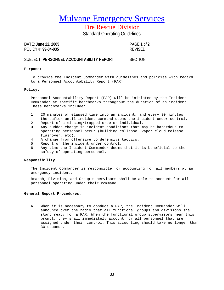Fire Rescue Division

Standard Operating Guidelines

DATE: **June 22, 2005** PAGE **1** of **2** POLICY #: **99-04-035** REVISED:

### SUBJECT: **PERSONNEL ACCOUNTABILITY REPORT** SECTION:

### **Purpose:**

To provide the Incident Commander with guidelines and policies with regard to a Personnel Accountability Report (PAR)

### **Policy:**

Personnel Accountability Report (PAR) will be initiated by the Incident Commander at specific benchmarks throughout the duration of an incident. These benchmarks include:

- **1.** 20 minutes of elapsed time into an incident, and every 30 minutes thereafter until incident command deems the incident under control.
- 2. Report of a missing/trapped crew or individual.<br>3. Any sudden change in incident conditions that m
- **3.** Any sudden change in incident conditions that may be hazardous to operating personnel occur (building collapse, vapor cloud release, flashover, etc).
- 4. A change from offensive to defensive tactics.
- 5. Report of the incident under control.
- 6. Any time the Incident Commander deems that it is beneficial to the safety of operating personnel.

### **Responsibility:**

The Incident Commander is responsible for accounting for all members at an emergency incident.

Branch, Division, and Group supervisors shall be able to account for all personnel operating under their command.

### **General Report Procedures:**

A. When it is necessary to conduct a PAR, the Incident Commander will announce over the radio that all functional groups and divisions shall stand ready for a PAR. When the functional group supervisors hear this prompt, they shall immediately account for all personnel that are assigned under their control. This accounting should take no longer than 30 seconds.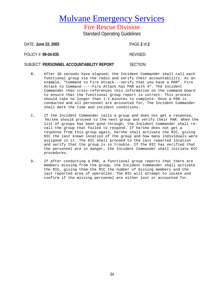Fire Rescue Division Standard Operating Guidelines

DATE: **June 22, 2005** PAGE **2** of **2**

POLICY #: **99-04-035** REVISED:

### SUBJECT: **PERSONNEL ACCOUNTABILITY REPORT** SECTION:

- B. After 30 seconds have elapsed; the Incident Commander shall call each functional group via the radio and verify their accountability. As an example, "Command to Fire Attack---verify that you have a PAR". Fire Attack to Command ----Fire Attack has PAR with 4". The Incident Commander then cross-references this information on the command board to ensure that the functional group report is correct. This process should take no longer than 1-2 minutes to complete. Once a PAR is conducted and all personnel are accounted for, The Incident Commander shall mark the time and incident conditions.
- C. If the Incident Commander calls a group and does not get a response, he/she should proceed to the next group and verify their PAR. When the list of groups has been gone through, the Incident Commander shall recall the group that failed to respond. If he/she does not get a response from this group again, he/she shall activate the RIC, giving RIC the last known location of the group and how many individuals were assigned in it. The RIC shall proceed to the last reported location and verify that the group is in trouble. If the RIC has verified that the personnel are in danger, the Incident Commander shall initiate RIC procedures.
- D. If after conducting a PAR, a functional group reports that there are members missing from the group, the Incident Commander shall activate the RIC, giving them the RIC the number of missing members and the last reported area of operation. The RIC will attempt to locate and confirm if the missing personnel are either lost or accounted for.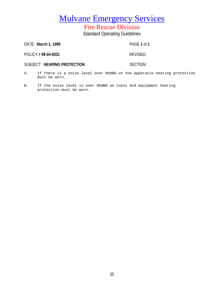## Fire Rescue Division Standard Operating Guidelines

| DATE: March 1, 1999         | PAGE 1 of 1 |
|-----------------------------|-------------|
| POLICY # 99-04-0031         | REVISED:    |
| SUBJECT: HEARING PROTECTION | SECTION:    |
|                             |             |

- A. If there is a noise level over 9OdBA on the apparatus hearing protection must be worn.
- B. If the noise level is over 9OdBA on tools and equipment hearing protection must be worn.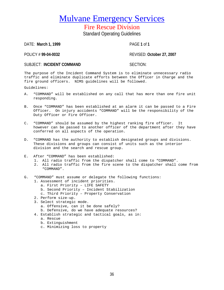## Fire Rescue Division Standard Operating Guidelines

DATE: **March 1, 1999** PAGE **1** of **1**

POLICY # **99-04-0032** REVISED: **October 27, 2007**

### SUBJECT: **INCIDENT COMMAND** SECTION:

The purpose of the Incident Command System is to eliminate unnecessary radio traffic and eliminate duplicate efforts between the Officer in Charge and the fire ground officers. NIMS guidelines will be followed.

Guidelines:

- A. "COMMAND" will be established on any call that has more than one fire unit responding.
- B. Once "COMMAND" has been established at an alarm it can be passed to a Fire Officer. On injury accidents "COMMAND" will be the responsibility of the Duty Officer or Fire Officer.
- C. "COMMAND" should be assumed by the highest ranking fire officer. It however can be passed to another officer of the department after they have conferred on all aspects of the operation.
- D. "COMMAND has the authority to establish designated groups and divisions. These divisions and groups can consist of units such as the interior division and the search and rescue group.
- E. After "COMMAND" has been established:
	- 1. All radio traffic from the dispatcher shall come to "COMMAND".
	- 2. All radio traffic from the fire scene to the dispatcher shall come from "COMMAND".
- G. "COMMAND" must assume or delegate the following functions:
	- 1. Assessment of incident priorities.
		- a. First Priority LIFE SAFETY
		- b. Second Priority Incident Stabilization
		- c. Third Priority Property Conservation
	- 2. Perform size-up.
	- 3. Select strategic mode.
		- a. Offensive, can it be done safely?
		- b. Defensive, do we have adequate resources?
	- 4. Establish strategic and tactical goals, as in:
		- a. Rescue
		- b. Extinguishment
		- c. Minimizing loss to property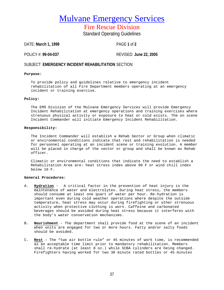Fire Rescue Division Standard Operating Guidelines

DATE: **March 1, 1999** PAGE **1** of **2**

POLICY #: **99-04-037** REVISED: **June 22, 2005**

### SUBJECT: **EMERGENCY INCIDENT REHABILITATION** SECTION:

#### **Purpose:**

To provide policy and guidelines relative to emergency incident rehabilitation of all Fire Department members operating at an emergency incident or training exercise.

#### **Policy:**

The EMS Division of the Mulvane Emergency Services will provide Emergency Incident Rehabilitation at emergency operations and training exercises where strenuous physical activity or exposure to heat or cold exists. The on scene Incident Commander will initiate Emergency Incident Rehabilitation.

#### **Responsibility:**

The Incident Commander will establish a Rehab Sector or Group when climatic or environmental conditions indicate that rest and rehabilitation is needed for personnel operating at an incident scene or training evolution. A member will be placed in charge of the sector or group and shall be known as Rehab officer.

Climatic or environmental conditions that indicate the need to establish a Rehabilitation Area are: heat stress index above 90 F or wind chill index below 10 F.

#### **General Procedures:**

- A. **Hydration** A critical factor in the prevention of heat injury is the maintenance of water and electrolytes. During heat stress, the members should consume at least one quart of water per hour. Re-hydration is important even during cold weather operations where despite the outside temperature, heat stress may occur during firefighting or other strenuous activity when protective clothing is worn. Caffeine and carbonated beverages should be avoided during heat stress because it interferes with the body's water conservation mechanisms.
- B. **Nourishment** The department shall provide food at the scene of an incident when units are engaged for two or more hours. Fatty and/or salty foods should be avoided.
- C. **Rest** The "two air bottle rule" or 45 minutes of work time, is recommended as an acceptable time limit prior to mandatory rehabilitation. Members shall re-hydrate (at least 8 oz.) while SCBA cylinders are being changed. Firefighters having worked for two 30 minute rated bottles or 45 minutes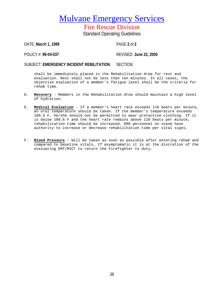Fire Rescue Division Standard Operating Guidelines

DATE: **March 1, 1999** PAGE **2** of **2**

POLICY #: **99-04-037** REVISED: **June 22, 2005**

SUBJECT: **EMERGENCY INCIDENT REBILITATION** SECTION:

shall be immediately placed in the Rehabilitation Area for rest and evaluation. Rest shall not be less than ten minutes. In all cases, the objective evaluation of a member's fatigue level shall be the criteria for rehab time.

- D. **Recovery** Members in the Rehabilitation Area should maintain a high level of hydration.
- E. **Medical Evaluation** If a member's heart rate exceeds 110 beats per minute, an oral temperature should be taken. If the member's temperature exceeds 100.6 F, he/she should not be permitted to wear protective clothing. If it is below 100.6 F and the heart rate remains above 110 beats per minute, rehabilitation time should be increased. EMS personnel on scene have authority to increase or decrease rehabilitation time per vital signs.
- F. **Blood Pressure -** Will be taken as soon as possible after entering rehab and compared to baseline vitals. If asymptomatic it is at the discretion of the evaluating EMT/MICT to return the Firefighter to duty.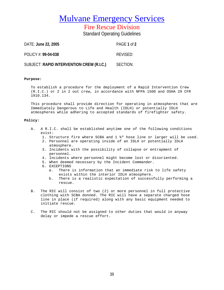### Fire Rescue Division

Standard Operating Guidelines

| DATE: June 22, 2005                       | PAGE 1 of 2 |
|-------------------------------------------|-------------|
| POLICY #: 99-04-038                       | REVISED:    |
| SUBJECT: RAPID INTERVENTION CREW (R.I.C.) | SECTION:    |

#### **Purpose:**

To establish a procedure for the deployment of a Rapid Intervention Crew (R.I.C.) or 2 in 2 out crew, in accordance with NFPA 1500 and OSHA 29 CFR 1910.134.

This procedure shall provide direction for operating in atmospheres that are Immediately Dangerous to Life and Health (IDLH) or potentially IDLH atmospheres while adhering to accepted standards of firefighter safety.

#### **Policy:**

- A. A R.I.C. shall be established anytime one of the following conditions exist:
	- 1. Structure fire where SCBA and 1 ¾" hose line or larger will be used.
	- 2. Personnel are operating inside of an IDLH or potentially IDLH atmosphere.
	- 3. Incidents with the possibility of collapse or entrapment of personnel.
	- 4. Incidents where personnel might become lost or disoriented.
	- 5. When deemed necessary by the Incident Commander.
	- 6. EXCEPTIONS<br>a. There
		- There is information that an immediate risk to life safety exists within the interior IDLH atmosphere.
		- b. There is a realistic expectation of successfully performing a rescue.
- B. The RIC will consist of two (2) or more personnel in full protective clothing with SCBA donned. The RIC will have a separate charged hose line in place (if required) along with any basic equipment needed to initiate rescue.
- C. The RIC should not be assigned to other duties that would in anyway delay or impede a rescue effort.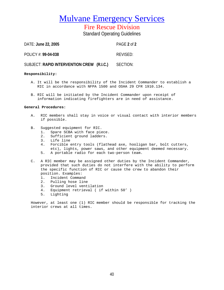Fire Rescue Division

Standard Operating Guidelines

| DATE: June 22, 2005                       | PAGE 2 of 2 |
|-------------------------------------------|-------------|
| POLICY #: 99-04-038                       | REVISED:    |
| SUBJECT: RAPID INTERVENTION CREW (R.I.C.) | SECTION:    |

#### **Responsibility:**

- A. It will be the responsibility of the Incident Commander to establish a RIC in accordance with NFPA 1500 and OSHA 29 CFR 1910.134.
- B. RIC will be initiated by the Incident Commander upon receipt of information indicating firefighters are in need of assistance.

#### **General Procedures:**

- A. RIC members shall stay in voice or visual contact with interior members if possible.
- B. Suggested equipment for RIC.<br>1. Spare SCBA with face pie
	- 1. Spare SCBA with face piece.<br>2. Sufficient ground ladders.
	- Sufficient ground ladders.
	- 3. Life line<br>4. Forcible
	- 4. Forcible entry tools (flathead axe, hooligan bar, bolt cutters, etc), lights, power saws, and other equipment deemed necessary.
	- 5. A portable radio for each two-person team.
- C. A RIC member may be assigned other duties by the Incident Commander, provided that such duties do not interfere with the ability to perform the specific function of RIC or cause the crew to abandon their position. Examples:
	- 1. Incident Command
	- 2. Pulling hose line
	- 3. Ground level ventilation
	- 4. Equipment retrieval ( if within 50' )
	- 5. Lighting

However, at least one (1) RIC member should be responsible for tracking the interior crews at all times.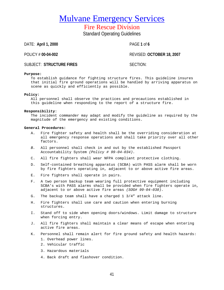Fire Rescue Division Standard Operating Guidelines

DATE: **April 1, 2000** PAGE **1** of **6**

POLICY # **00-04-002** REVISED: **OCTOBER 18, 2007**

### SUBJECT: STRUCTURE FIRES SECTION:

#### **Purpose:**

To establish guidance for fighting structure fires. This guideline insures that initial fire ground operations will be handled by arriving apparatus on scene as quickly and efficiently as possible.

#### **Policy:**

All personnel shall observe the practices and precautions established in this guideline when responding to the report of a structure fire.

#### **Responsibility**:

The incident commander may adapt and modify the guideline as required by the magnitude of the emergency and existing conditions.

#### **General Procedures:**

- A. Fire fighter safety and health shall be the overriding consideration at all emergency response operations and shall take priority over all other factors.
- *B.* All personnel shall check in and out by the established Passport Accountability System *(Policy # 99-04-034).*
- C. All fire fighters shall wear NFPA compliant protective clothing.
- D. Self-contained breathing apparatus (SCBA) with PASS alarm shall be worn by fire fighters operating in, adjacent to or above active fire areas.
- E. Fire fighters shall operate in pairs.
- F. A two person backup team wearing full protective equipment including SCBA's with PASS alarms shall be provided when fire fighters operate in, adjacent to or above active fire areas *(SOG# 99-04-038).*
- G. The backup team shall have a charged 1 3/4" attack line.
- H. Fire fighters shall use care and caution when entering burning structures.
- I. Stand off to side when opening doors/windows. Limit damage to structure when forcing entry.
- J. All fire fighters shall maintain a clear means of escape when entering active fire areas.
- K. Personnel shall remain alert for fire ground safety and health hazards:
	- 1. Overhead power lines.
	- 2. Vehicular traffic
	- 3. Hazardous materials
	- 4. Back draft and flashover condition.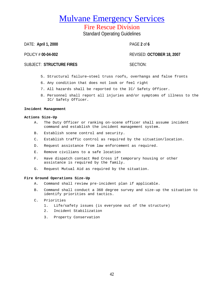Fire Rescue Division Standard Operating Guidelines

DATE: **April 1, 2000** PAGE **2** of **6**

### POLICY # **00-04-002** REVISED: **OCTOBER 18, 2007**

### SUBJECT: STRUCTURE FIRES SECTION:

- 5. Structural failure—steel truss roofs, overhangs and false fronts
- 6. Any condition that does not look or feel right
- 7. All hazards shall be reported to the IC/ Safety Officer.
- 8. Personnel shall report all injuries and/or symptoms of illness to the IC/ Safety Officer.

#### **Incident Management**

#### **Actions Size-Up**

- A. The Duty Officer or ranking on-scene officer shall assume incident command and establish the incident management system.
- B. Establish scene control and security.
- C. Establish traffic control as required by the situation/location.
- D. Request assistance from law enforcement as required.
- E. Remove civilians to a safe location
- F. Have dispatch contact Red Cross if temporary housing or other assistance is required by the family.
- G. Request Mutual Aid as required by the situation.

#### **Fire Ground Operations Size-Up**

- A. Command shall review pre-incident plan if applicable.
- B. Command shall conduct a 360 degree survey and size-up the situation to identify priorities and tactics.
- C. Priorities
	- 1. Life/safety issues (is everyone out of the structure)
	- 2. Incident Stabilization
	- 3. Property Conservation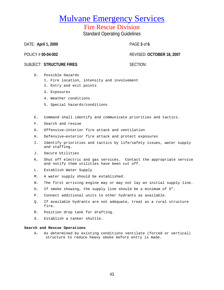### Fire Rescue Division Standard Operating Guidelines

DATE: **April 1, 2000** PAGE **3** of **6**

POLICY # **00-04-002** REVISED: **OCTOBER 18, 2007**

### SUBJECT: STRUCTURE FIRES SECTION:

- D. Possible Hazards
	- 1. Fire location, intensity and involvement
	- 2. Entry and exit points
	- 3. Exposures
	- 4. Weather conditions
	- 5. Special hazards/conditions
- E. Command shall identify and communicate priorities and tactics.
- F. Search and rescue
- G. Offensive—interior fire attack and ventilation
- H. Defensive—exterior fire attack and protect exposures
- I. Identify priorities and tactics by life/safety issues, water supply and staffing.
- J. Secure Utilities
- K. Shut off electric and gas services. Contact the appropriate service and notify them utilities have been cut off.
- L. Establish Water Supply
- M. A water supply should be established.
- N. The first arriving engine may or may not lay an initial supply line.
- O. If smoke showing, the supply line should be a minimum of 5".
- P. Connect additional units to other hydrants as available.
- Q. If available hydrants are not adequate, treat as a rural structure fire.
- R. Position drop tank for drafting.
- S. Establish a tanker shuttle.

#### **Search and Rescue Operations**

A. As determined by existing conditions ventilate (forced or vertical) structure to reduce heavy smoke before entry is made.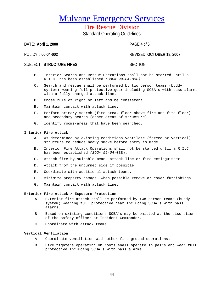# Fire Rescue Division

Standard Operating Guidelines

DATE: **April 1, 2000** PAGE **4** of **6**

POLICY # **00-04-002** REVISED: **OCTOBER 18, 2007**

### SUBJECT: STRUCTURE FIRES SECTION:

- B. Interior Search and Rescue Operations shall not be started until a R.I.C. has been established *(SOG# 99-04-038).*
- C. Search and rescue shall be performed by two person teams (buddy system) wearing full protective gear including SCBA's with pass alarms with a fully charged attack line.
- D. Chose rule of right or left and be consistent.
- E. Maintain contact with attack line.
- F. Perform primary search (fire area, floor above fire and fire floor) and secondary search (other areas of structure).
- G. Identify rooms/areas that have been searched.

#### **Interior Fire Attack**

- A. As determined by existing conditions ventilate (forced or vertical) structure to reduce heavy smoke before entry is made.
- B. Interior Fire Attack Operations shall not be started until a R.I.C. has been established *(SOG# 99-04-*038).
- C. Attack fire by suitable mean— attack line or fire extinguisher.
- D. Attack from the unburned side if possible.
- E. Coordinate with additional attack teams.
- F. Minimize property damage. When possible remove or cover furnishings.
- G. Maintain contact with attack line.

#### **Exterior Fire Attack / Exposure Protection**

- A. Exterior fire attack shall be performed by two person teams (buddy system) wearing full protective gear including SCBA's with pass alarms.
- B. Based on existing conditions SCBA's may be omitted at the discretion of the safety officer or Incident Commander.
- C. Coordinate with attack teams.

### **Vertical Ventilation**

- A. Coordinate ventilation with other fire ground operations.
- B. Fire fighters operating on roofs shall operate in pairs and wear full protective including SCBA's with pass alarms.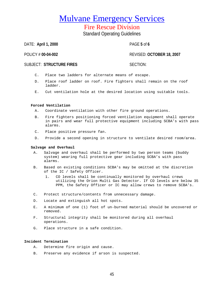Fire Rescue Division Standard Operating Guidelines

DATE: **April 1, 2000** PAGE **5** of **6**

### POLICY # **00-04-002** REVISED: **OCTOBER 18, 2007**

### SUBJECT: STRUCTURE FIRES SECTION:

- C. Place two ladders for alternate means of escape.
- D. Place roof ladder on roof. Fire fighters shall remain on the roof ladder.
- E. Cut ventilation hole at the desired location using suitable tools.

#### **Forced Ventilation**

- A. Coordinate ventilation with other fire ground operations.
- B. Fire fighters positioning forced ventilation equipment shall operate in pairs and wear full protective equipment including SCBA's with pass alarms.
- C. Place positive pressure fan.
- D. Provide a second opening in structure to ventilate desired room/area.

#### **Salvage and Overhaul**

- A. Salvage and overhaul shall be performed by two person teams (buddy system) wearing full protective gear including SCBA's with pass alarms.
- B. Based on existing conditions SCBA's may be omitted at the discretion of the IC / Safety Officer.
	- 1. CO levels shall be continually monitored by overhaul crews utilizing the Orion Multi Gas Detector. If CO levels are below 35 PPM, the Safety Officer or IC may allow crews to remove SCBA's.
- C. Protect structure/contents from unnecessary damage.
- D. Locate and extinguish all hot spots.
- E. A minimum of one (1) foot of un-burned material should be uncovered or removed.
- F. Structural integrity shall be monitored during all overhaul operations.
- G. Place structure in a safe condition.

#### **Incident Termination**

- A. Determine fire origin and cause.
- B. Preserve any evidence if arson is suspected.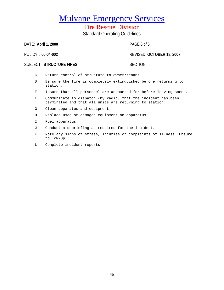Fire Rescue Division Standard Operating Guidelines

DATE: **April 1, 2000** PAGE **6** of **6**

POLICY # **00-04-002** REVISED: **OCTOBER 18, 2007**

### SUBJECT: STRUCTURE FIRES SECTION:

- C. Return control of structure to owner/tenant.
- D. Be sure the fire is completely extinguished before returning to station.
- E. Insure that all personnel are accounted for before leaving scene.
- F. Communicate to dispatch (by radio) that the incident has been terminated and that all units are returning to station.
- G. Clean apparatus and equipment.
- H. Replace used or damaged equipment on apparatus.
- I. Fuel apparatus.
- J. Conduct a debriefing as required for the incident.
- K. Note any signs of stress, injuries or complaints of illness. Ensure follow-up.
- L. Complete incident reports.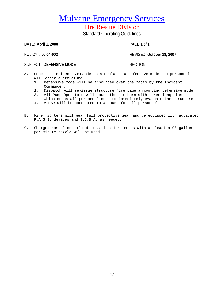Fire Rescue Division Standard Operating Guidelines

DATE: **April 1, 2000** PAGE **1** of **1**

POLICY # **00-04-003** REVISED: **October 18, 2007**

SUBJECT: DEFENSIVE MODE SUBJECT: SECTION:

- A. Once the Incident Commander has declared a defensive mode, no personnel will enter a structure.<br>1. Defensive mode will
	- 1. Defensive mode will be announced over the radio by the Incident Commander.
	- 2. Dispatch will re-issue structure fire page announcing defensive mode.
	- 3. All Pump Operators will sound the air horn with three long blasts which means all personnel need to immediately evacuate the structure.
	- 4. A PAR will be conducted to account for all personnel.
- B. Fire fighters will wear full protective gear and be equipped with activated P.A.S.S. devices and S.C.B.A. as needed.
- C. Charged hose lines of not less than 1 ½ inches with at least a 90-gallon per minute nozzle will be used.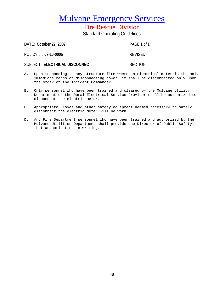# Fire Rescue Division

Standard Operating Guidelines

| DATE: October 27, 2007         | PAGE 1 of 1    |
|--------------------------------|----------------|
| POLICY # # 07-10-0005          | <b>REVISED</b> |
| SUBJECT: ELECTRICAL DISCONNECT | SECTION:       |

- A. Upon responding to any structure fire where an electrical meter is the only immediate means of disconnecting power, it shall be disconnected only upon the order of the Incident Commander.
- B. Only personnel who have been trained and cleared by the Mulvane Utility Department or the Rural Electrical Service Provider shall be authorized to disconnect the electric meter.
- C. Appropriate Gloves and other safety equipment deemed necessary to safely disconnect the electric meter will be worn.
- D. Any Fire Department personnel who have been trained and authorized by the Mulvane Utilities Department shall provide the Director of Public Safety that authorization in writing.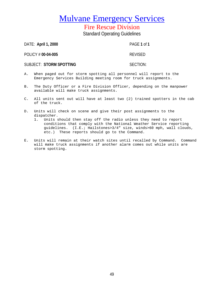Fire Rescue Division Standard Operating Guidelines

DATE: **April 1, 2000** PAGE **1** of **1** POLICY # **00-04-005** REVISED SUBJECT: STORM SPOTTING **SUBJECT: STORM SPOTTING** 

- A. When paged out for storm spotting all personnel will report to the Emergency Services Building meeting room for truck assignments.
- B. The Duty Officer or a Fire Division Officer, depending on the manpower available will make truck assignments.
- C. All units sent out will have at least two (2) trained spotters in the cab of the truck.
- D. Units will check on scene and give their post assignments to the dispatcher.
	- 1. Units should then stay off the radio unless they need to report conditions that comply with the National Weather Service reporting guidelines. (I.E.; Hailstones>3/4" size, winds>60 mph, wall clouds, etc.) These reports should go to the Command.
- E. Units will remain at their watch sites until recalled by Command. Command will make truck assignments if another alarm comes out while units are storm spotting.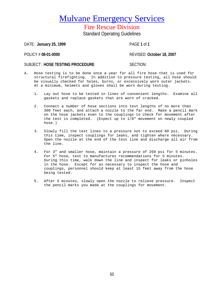Fire Rescue Division Standard Operating Guidelines

DATE: **January 25, 1999** PAGE **1** of **1**

POLICY # **08-01-0000** REVISED: **October 18, 2007**

### SUBJECT: HOSE TESTING PROCEDURE SUBJECT: HOSE TESTING PROCEDURE

- A. Hose testing is to be done once a year for all fire hose that is used for structural firefighting. In addition to pressure testing, all hose should be visually checked for holes, burns, or excessively worn outer jackets. At a minimum, helmets and gloves shall be worn during testing.
	- 1. Lay out hose to be tested in lines of convenient lengths. Examine all gaskets and replace gaskets that are worn of cracked.
	- 2. Connect a number of hose sections into test lengths of no more than 300 feet each, and attach a nozzle to the far end. Make a pencil mark on the hose jackets even to the couplings to check for movement after the test is completed. (Expect up to 1/8" movement on newly coupled hose.)
	- 3. Slowly fill the test lines to a pressure not to exceed 60 psi. During this time, inspect couplings for leaks, and tighten where necessary. Open the nozzle at the end of the test line and discharge all air from the line.
	- 4. For 3" and smaller hose, maintain a pressure of 250 psi for 5 minutes. For 5" hose, test to manufactures recommendations for 5 minutes. During this time, walk down the line and inspect for leaks or pinholes in the hose. Except for as necessary to inspect the hose and couplings, personnel should keep at least 15 feet away from the hose being tested.
	- 5. After 5 minutes, slowly open the nozzle to relieve pressure. Inspect the pencil marks you made at the couplings for movement.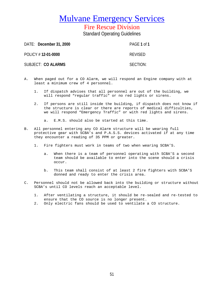Fire Rescue Division Standard Operating Guidelines

DATE: **December 31, 2000** PAGE **1** of **1** POLICY # **12-01-0000** REVISED SUBJECT: CO ALARMS SUBJECT: SECTION:

- A. When paged out for a CO Alarm, we will respond an Engine company with at least a minimum crew of 4 personnel.
	- 1. If dispatch advises that all personnel are out of the building, we will respond "regular traffic" or no red lights or sirens.
	- 2. If persons are still inside the building, if dispatch does not know if the structure is clear or there are reports of medical difficulties, we will respond "Emergency Traffic" or with red lights and sirens.

a. E.M.S. should also be started at this time.

- B. All personnel entering any CO Alarm structure will be wearing full protective gear with SCBA's and P.A.S.S. devices activated if at any time they encounter a reading of 35 PPM or greater.
	- 1. Fire fighters must work in teams of two when wearing SCBA'S.
		- a. When there is a team of personnel operating with SCBA'S a second team should be available to enter into the scene should a crisis occur.
		- b. This team shall consist of at least 2 fire fighters with SCBA'S donned and ready to enter the crisis area.
- C. Personnel should not be allowed back into the building or structure without SCBA's until CO levels reach an acceptable level.
	- 1. After ventilating a structure, it should be re-sealed and re-tested to ensure that the CO source is no longer present.
	- 2. Only electric fans should be used to ventilate a CO structure.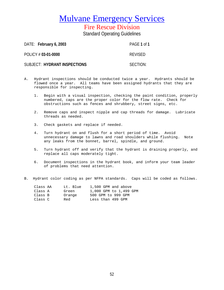Fire Rescue Division

Standard Operating Guidelines

DATE: **February 6, 2003** PAGE **1** of **1** POLICY # **03-01-0000** REVISED SUBJECT: **HYDRANT INSPECTIONS** SECTION:

- A. Hydrant inspections should be conducted twice a year. Hydrants should be flowed once a year. All teams have been assigned hydrants that they are responsible for inspecting.
	- 1. Begin with a visual inspection, checking the paint condition, properly numbered, caps are the proper color for the flow rate. Check for obstructions such as fences and shrubbery, street signs, etc.
	- 2. Remove caps and inspect nipple and cap threads for damage. Lubricate threads as needed.
	- 3. Check gaskets and replace if needed.
	- 4. Turn hydrant on and flush for a short period of time. Avoid unnecessary damage to lawns and road shoulders while flushing. Note any leaks from the bonnet, barrel, spindle, and ground.
	- 5. Turn hydrant off and verify that the hydrant is draining properly, and replace all caps moderately tight.
	- 6. Document inspections in the hydrant book, and inform your team leader of problems that need attention.
- B. Hydrant color coding as per NFPA standards. Caps will be coded as follows.

| Class AA | Lt. Blue | 1,500 GPM and above    |
|----------|----------|------------------------|
| Class A  | Green    | 1,000 GPM to 1,499 GPM |
| Class B  | Orange   | 500 GPM to 999 GPM     |
| Class C  | Red      | Less than 499 GPM      |
|          |          |                        |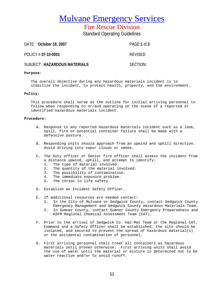Fire Rescue Division

Standard Operating Guidelines

DATE: **October 18, 2007** PAGE **1** of **3** POLICY # **07-10-0001** REVISED SUBJECT: **HAZARDOUS MATERIALS** SECTION:

#### **Purpose**:

The overall objective during any hazardous materials incident is to stabilize the incident, to protect health, property, and the environment.

#### **Policy**:

This procedure shall serve as the outline for initial arriving personnel to follow when responding to or/and operating on the scene of a reported or identified hazardous materials incident.

#### **Procedure:**

- A. Response to any reported hazardous materials incident such as a leak, spill, fire or potential container failure shall be made with a defensive posture.
- B. Responding units should approach from an upwind and uphill direction. Avoid driving into vapor clouds or smoke.
- C. The Duty officer or Senior fire officer shall assess the incident from a distance upwind, uphill, and attempt to identify:
	- 1. The type of material involved.
	- 2. The quantity of the material involved.
	- 3. The possibility of contamination.
	- 4. The immediate exposure problem.
	- 5. The threat to life safety.
- D. Establish an Incident Safety Officer.
- E. If additional resources are needed contact:
	- 1. In the City of Mulvane or Sedgwick County, contact Sedgwick County Emergency Management and Sedgwick County Hazardous Materials Team.
	- 2. In Sumner County, contact Sumner County Emergency Preparedness and KSFM Regional Chemical Assessment Team (CAT).
- F. Prior to the arrival of Sedgwick Co. Haz-Mat Team or the Regional CAT, Command and a Safety Officer shall be established, the site should be isolated, and secured to prevent the spread of hazardous material(s) or the accidental contamination of personnel.
- G. First arriving personnel shall treat all containers as hazardous materials until proven otherwise. First arriving units shall avoid the use of water until the material or mixture is determined not to be water reactive and/or to avoid runoff.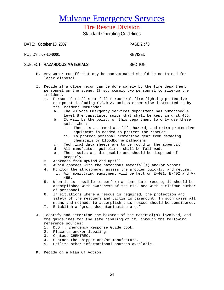Fire Rescue Division

Standard Operating Guidelines

DATE: **October 18, 2007** PAGE **2** of **3**

POLICY # **07-10-0001** REVISED

### SUBJECT: **HAZARDOUS MATERIALS** SECTION:

- H. Any water runoff that may be contaminated should be contained for later disposal.
- I. Decide if a close recon can be done safely by the fire department personnel on the scene. If so, commit two personnel to size-up the incident.<br>1 Perso
	- Personnel shall wear full structural fire fighting protective equipment including S.C.B.A. unless other wise instructed to by the Incident Commander.
		- a. The Mulvane Emergency Services department has purchased 4 Level B encapsulated suits that shall be kept in unit 455.
		- b. It will be the policy of this department to only use these suits when:<br>i. There i
			- There is an immediate life hazard, and extra protective equipment is needed to protect the rescuer.
			- ii. To protect personal protective gear from damaging chemicals or bloodborne pathogens.
		- c. Technical data sheets are to be found in the appendix.
		- d. All manufacture guidelines shall be followed.<br>e. These suits are disposable and should be disp
		- These suits are disposable and should be disposed of properly.
	- 2. Approach from upwind and uphill.
	- 3. Avoid contact with the hazardous material(s) and/or vapors.
	- 4. Monitor the atmosphere, assess the problem quickly, and return. i. Air monitoring equipment will be kept on E-401, E-402 and V-455.
	- 5. When it is possible to perform an immediate rescue, it should be accomplished with awareness of the risk and with a minimum number of personnel.
	- 6. In situations where a rescue is required, the protection and safety of the rescuers and victim is paramount. In such cases all means and methods to accomplish this rescue should be considered. 7. Establish a "gross decontamination area"
	-
- J. Identify and determine the hazards of the material(s) involved, and the guidelines for the safe handling of it, through the following reference sources:
	- 1. D.O.T. Emergency Response Guide book.
	- 2. Placards and/or labeling.
	- 3. Contact CHEMTREC.
	- 4. Contact the shipper and/or manufacture.
	- 5. Utilize other informational sources available.
- K. Decide on a Plan Of Action.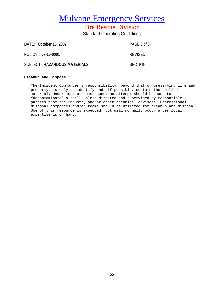Fire Rescue Division Standard Operating Guidelines

DATE: **October 18, 2007** PAGE **3** of **3** POLICY # **07-10-0001** REVISED SUBJECT: HAZARDOUS MATERIALS **SECTION:** 

#### **Cleanup and Disposal:**

The Incident Commander's responsibility, beyond that of preserving life and property, is only to identify and, if possible, contain the spilled material. Under most circumstances, no attempt should be made to "decontaminate" a spill unless directed and supervised by responsible parties from the industry and/or other technical advisors. Professional disposal companies and/or teams should be utilized for cleanup and disposal. Use of this resource is expected, but will normally occur after local expertise is on hand.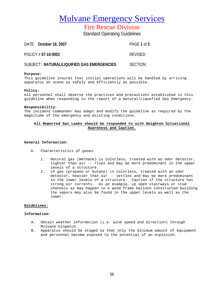Fire Rescue Division

Standard Operating Guidelines

| DATE: October 18, 2007                     | PAGF 1 of 3    |
|--------------------------------------------|----------------|
| POLICY # 07-10-0002                        | <b>REVISED</b> |
| SUBJECT: NATURAL/LIQUIFIED GAS EMERGENCIES | SECTION:       |

#### **Purpose:**

This guideline insures that initial operations will be handled by arriving apparatus on scene as safely and efficiently as possible.

#### **Policy:**

All personnel shall observe the practices and precautions established in this guideline when responding to the report of a Natural/Liquefied Gas Emergency.

#### **Responsibility**:

The incident commander may adapt and modify the guideline as required by the magnitude of the emergency and existing conditions.

#### **All Reported Gas Leaks should be responded to with Heighten Situational Awareness and Caution.**

#### **General Information:**

- A. Characteristics of gases
	- 1. Natural gas (methane) is colorless, treated with an odor detector, lighter than air -- rises and may be more predominant in the upper levels of a structure.
	- 2. LP gas (propane or butane) is colorless, treated with an odor detector, heavier than air -- settles and may be more predominant in the lower levels of a structure. Caution if the structure has strong air currents. As an example, up open stairways or stud channels as may happen in a wood frame balloon constructed building the vapors may also be found in the upper levels as well as the lower.

#### **Guidelines:**

#### **Information:**

- A. Obtain weather information (i.e. wind speed and direction) through Mulvane Dispatch.
- B. Apparatus should be staged so that only the minimum amount of equipment and personnel become exposed to the potential of an explosion.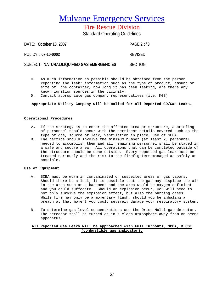Fire Rescue Division

Standard Operating Guidelines

DATE: **October 18, 2007** PAGE **2** of **3** POLICY # **07-10-0002** REVISED SUBJECT: **NATURAL/LIQUIFIED GAS EMERGENCIES** SECTION:

- C. As much information as possible should be obtained from the person reporting the leak; information such as the type of product, amount or size of the container, how long it has been leaking, are there any known ignition sources in the vicinity.
- D. Contact appropriate gas company representatives (i.e. KGS)

#### **Appropriate Utility Company will be called for all Reported CO/Gas Leaks.**

#### **Operational Procedures**

- A. If the strategy is to enter the affected area or structure, a briefing of personnel should occur with the pertinent details covered such as the type of gas, source of leak, ventilation in place, use of SCBA.
- B. The tactics should involve the minimum number (at least 2) personnel needed to accomplish them and all remaining personnel shall be staged in a safe and secure area. All operations that can be completed outside of the structure should be done outside. Every reported gas leak must be treated seriously and the risk to the firefighters managed as safely as possible.

#### **Use of Equipment**

- A. SCBA must be worn in contaminated or suspected areas of gas vapors. Should there be a leak, it is possible that the gas may displace the air in the area such as a basement and the area would be oxygen deficient and you could suffocate. Should an explosion occur, you will need to not only survive the explosion effect, but also the burning gases. While fire may only be a momentary flash, should you be inhaling a breath at that moment you could severely damage your respiratory system.
- B. To determine gas level concentrations use the Orion Multi-gas detector. The detector shall be turned on in a clean atmosphere away from on scene apparatus.

### **All Reported Gas Leaks will be approached with Full Turnouts, SCBA, & CGI (combustible gas indicator).**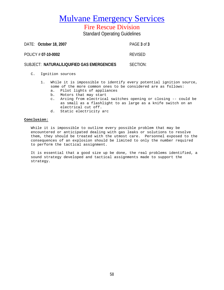Fire Rescue Division

Standard Operating Guidelines

DATE: **October 18, 2007** PAGE **3** of **3** POLICY # **07-10-0002** REVISED SUBJECT: **NATURAL/LIQUIFIED GAS EMERGENCIES** SECTION:

C. Ignition sources

- 1. While it is impossible to identify every potential ignition source, some of the more common ones to be considered are as follows:
	- a. Pilot lights of appliances
	- b. Motors that may start
	- c. Arcing from electrical switches opening or closing -- could be as small as a flashlight to as large as a knife switch on an electrical cut off.
	- d. Static electricity arc

#### **Conclusion:**

While it is impossible to outline every possible problem that may be encountered or anticipated dealing with gas leaks or solutions to resolve them, they should be treated with the utmost care. Personnel exposed to the consequences of an explosion should be limited to only the number required to perform the tactical assignment.

It is essential that a good size up be done, the real problems identified, a sound strategy developed and tactical assignments made to support the strategy.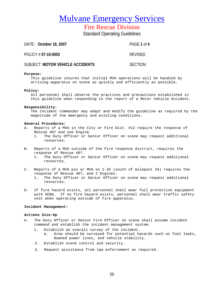Fire Rescue Division

Standard Operating Guidelines

| DATE: October 18, 2007           | PAGE 1 of 4    |
|----------------------------------|----------------|
| POLICY # 07-10-0003              | <b>REVISED</b> |
| SUBJECT: MOTOR VEHICLE ACCIDENTS | SECTION:       |

#### **Purpose:**

This guideline insures that initial MVA operations will be handled by arriving apparatus on scene as quickly and efficiently as possible.

#### **Policy:**

All personnel shall observe the practices and precautions established in this guideline when responding to the report of a Motor Vehicle Accident.

#### **Responsibility**:

The incident commander may adapt and modify the guideline as required by the magnitude of the emergency and existing conditions.

#### **General Procedures:**

- A. Reports of a MVA in the City or Fire Dist. #12 require the response of Rescue 407 and one Engine.<br>1 The Duty Officer or Se
	- The Duty Officer or Senior Officer on scene may request additional resources.
- B. Reports of a MVA outside of the Fire response district, requires the response of Rescue 407.
	- 1. The Duty Officer or Senior Officer on scene may request additional resources.
- C. Reports of a MVA pin or MVA on I-35 (south of milepost 34) requires the response of Rescue 407, and 2 Engines.
	- 1. The Duty Officer or Senior Officer on scene may request additional resources.
- D. If fire hazard exists, all personnel shall wear full protective equipment with SCBA. If no fire hazard exists, personnel shall wear traffic safety vest when operating outside of fire apparatus.

#### **Incident Management:**

#### **Actions Size-Up**

- A. The Duty Officer or Senior Fire Officer on scene shall assume incident command and establish the incident management system.
	- 1. Establish an overall survey of the incident.<br>a. Area should be surveyed for potential ha
		- Area should be surveyed for potential hazards such as fuel leaks, downed power lines, and vehicle stability.
	- 2. Establish scene control and security.
	- 3. Request assistance from law enforcement as required.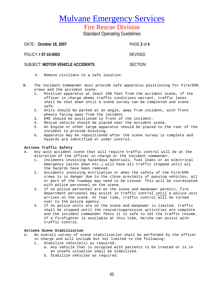### Fire Rescue Division

Standard Operating Guidelines

DATE: **October 18, 2007** PAGE **2** of **4**

POLICY # **07-10-0003** REVISED

### SUBJECT: **MOTOR VEHICLE ACCIDENTS** SECTION:

- 4. Remove civilians to a safe location.
- B. The Incident Commander must provide safe apparatus positioning for Fire/EMS crews and the accident scene.
	- 1. Position apparatus at least 100 feet from the accident scene, if the officer in charge deems traffic conditions warrant, traffic lanes shall be shut down until a scene survey can be completed and scene safe.
	- 2. Units should be parked at an angle, away from incident, with front wheels facing away from the incident.
	- 3. EMS should be positioned in front of the incident.
	- 4. Rescue vehicle should be placed near the accident scene.
	- 5. An Engine or other large apparatus should be placed to the rear of the incident to provide blocking.
	- 6. Apparatus may be repositioned after the scene survey is complete and hazards are identified or under control.

### **Actions Traffic Safety**

- A. Any auto accident scene that will require traffic control will be at the discretion of the officer in charge or the incident commander.
	- 1. Incidents involving hazardous materials, fuel leaks or an electrical emergency (wires down etc.) will have all traffic stopped until all the hazards have been removed.
	- 2. Accidents involving extrication or when the safety of the Fire/EMS crews is in danger due to the close proximity of passing vehicles, all or part of the roadway may need to be closed. This will be coordinated with police personnel on the scene.
	- 3. If no police personnel are on the scene and manpower permits, fire department personnel may assist in traffic control until a police unit arrives on the scene. At that time, traffic control will be turned over to the police agency.
	- 4. If no police units are on the scene and manpower is limited, traffic shall be stopped until the rescue/suppression activities are complete and the incident commander feels it is safe to let the traffic resume. If a firefighter is available at this time, he/she can assist with traffic control.

### **Actions Scene Stabilization**

- A. An overall survey of scene stabilization shall be performed by the officer in charge and will include but not limited to the following:<br>1. Stabilize vehicle(s) as required.
	- Stabilize vehicle(s) as required.
		- a. Any vehicle that is occupied with patients to be treated or is in an unsafe situation shall be stabilized.
		- b. Stabilize vehicles as required.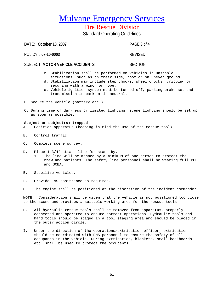### Fire Rescue Division

Standard Operating Guidelines

DATE: **October 18, 2007** PAGE **3** of **4**

POLICY # **07-10-0003** REVISED

### SUBJECT: **MOTOR VEHICLE ACCIDENTS** SECTION:

- c. Stabilization shall be performed on vehicles in unstable
- situations, such as on their side, roof or on uneven ground. d. Stabilization may include step chocks, wheel chocks, cribbing or
- securing with a winch or rope.
- e. Vehicle ignition system must be turned off, parking brake set and transmission in park or in neutral.
- B. Secure the vehicle (battery etc.)
- C. During time of darkness or limited lighting, scene lighting should be set up as soon as possible.

### **Subject or subject(s) trapped**

- A. Position apparatus (keeping in mind the use of the rescue tool).
- B. Control traffic.
- C. Complete scene survey.
- D. Place 1 3/4" attack line for stand-by.
	- 1. The line will be manned by a minimum of one person to protect the crew and patients. The safety line personnel shall be wearing full PPE and SCBA.
- E. Stabilize vehicles.
- F. Provide EMS assistance as required.
- G. The engine shall be positioned at the discretion of the incident commander.

**NOTE:** Consideration shall be given that the vehicle is not positioned too close to the scene and provides a suitable working area for the rescue tools.

- H. All hydraulic rescue tools shall be removed from apparatus, properly connected and operated to ensure correct operations. Hydraulic tools and hand tools should be staged in a tool staging area and should be placed in the outer action circle.
- I. Under the direction of the operations/extrication officer, extrication should be coordinated with EMS personnel to ensure the safety of all occupants in the vehicle. During extrication, blankets, small backboards etc. shall be used to protect the occupants.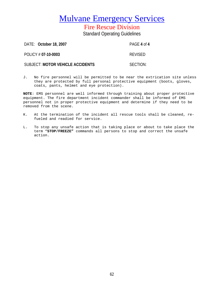Fire Rescue Division Standard Operating Guidelines

DATE: **October 18, 2007** PAGE **4** of **4** POLICY # **07-10-0003** REVISED SUBJECT: **MOTOR VEHICLE ACCIDENTS** SECTION:

J. No fire personnel will be permitted to be near the extrication site unless they are protected by full personal protective equipment (boots, gloves, coats, pants, helmet and eye protection).

**NOTE**: EMS personnel are well informed through training about proper protective equipment. The fire department incident commander shall be informed of EMS personnel not in proper protective equipment and determine if they need to be removed from the scene.

- K. At the termination of the incident all rescue tools shall be cleaned, refueled and readied for service.
- L. To stop any unsafe action that is taking place or about to take place the term "**STOP/FREEZE"** commands all persons to stop and correct the unsafe action.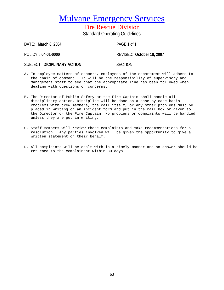Fire Rescue Division Standard Operating Guidelines

DATE: **March 8, 2004** PAGE **1** of **1**

POLICY # **04-01-0000** REVISED: **October 18, 2007**

SUBJECT: DICIPLINARY ACTION

- A. In employee matters of concern, employees of the department will adhere to the chain of command. It will be the responsibility of supervisory and management staff to see that the appropriate line has been followed when dealing with questions or concerns.
- B. The Director of Public Safety or the Fire Captain shall handle all disciplinary action. Discipline will be done on a case-by-case basis. Problems with crew members, the call itself, or any other problems must be placed in writing on an incident form and put in the mail box or given to the Director or the Fire Captain. No problems or complaints will be handled unless they are put in writing.
- C. Staff Members will review these complaints and make recommendations for a resolution. Any parties involved will be given the opportunity to give a written statement on their behalf.
- D. All complaints will be dealt with in a timely manner and an answer should be returned to the complainant within 30 days.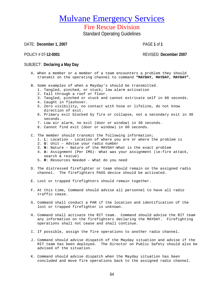Fire Rescue Division

Standard Operating Guidelines

DATE: **December 1, 2007** PAGE **1** of **1**

POLICY # 07**-12-0001** REVISED: **December 2007**

### SUBJECT: **Declaring a May Day**

- A. When a member or a member of a team encounters a problem they should transmit on the operating channel to command **"MAYDAY, MAYDAY, MAYDAY".**
- B. Some examples of when a Mayday's should be transmitted.
	- 1. Tangled, pinched, or stuck; low alarm activation
	- 2. Fall through a roof or floor.
	- 3. Tangled, pinched or stuck and cannot extricate self in 60 seconds.
	- 4. Caught in flashover.
	- 5. Zero visibility, no contact with hose or lifeline, do not know direction of exit.
	- 6. Primary exit blocked by fire or collapse, not a secondary exit in 30 seconds.
	- 7. Low air alarm, no exit (door or window) in 30 seconds.
	- 8. Cannot find exit (door or window) in 60 seconds.
- C. The member should transmit the following information;
	- 1. **L**: Location Location of where you are or where the problem is
	- 2. **U**: Unit Advise your radio number
	- 3. **N**: Nature Nature of the MAYDAY-What is the exact problem
	- 4. **A**: Assignment (Per IMS)- What was your assignment (ie:fire attack, search & rescue)
	- 5. **R**: Resources Needed What do you need
- D. The distressed firefighter or team should remain on the assigned radio channel. The firefighters PASS device should be activated.
- E. Lost or trapped firefighters should remain together.
- F. At this time, Command should advise all personnel to have all radio traffic cease.
- G. Command shall conduct a PAR if the location and identification of the lost or trapped firefighter is unknown.
- H. Command shall activate the RIT team. Command should advise the RIT team any information on the firefighters declaring the MAYDAY. Firefighting operations shall not cease and shall continue.
- I. If possible, assign the fire operations to another radio channel.
- J. Command should advise dispatch of the Mayday situation and advise if the RIT team has been deployed. The Director on Public Safety should also be advised of the situation.
- K. Command should advise dispatch when the Mayday situation has been concluded and move fire operations back to the assigned radio channel.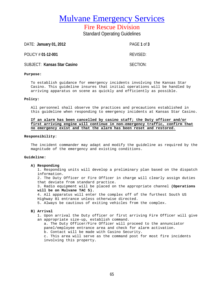Fire Rescue Division Standard Operating Guidelines

DATE: **January 01, 2012** PAGE **1** of **3** POLICY # 01-12-001 REVISED: SUBJECT: **Kansas Star Casino** SECTION:

#### **Purpose:**

To establish guidance for emergency incidents involving the Kansas Star Casino. This guideline insures that initial operations will be handled by arriving apparatus on scene as quickly and efficiently as possible.

#### **Policy:**

All personnel shall observe the practices and precautions established in this guideline when responding to emergency incidents at Kansas Star Casino.

#### **If an alarm has been cancelled by casino staff; the Duty officer and/or first arriving engine will continue in non-emergency traffic, confirm that no emergency exist and that the alarm has been reset and restored.**

#### **Responsibility**:

The incident commander may adapt and modify the guideline as required by the magnitude of the emergency and existing conditions.

#### **Guideline:**

#### **A) Responding**

1. Responding units will develop a preliminary plan based on the dispatch information.

2. The Duty Officer or Fire Officer in charge will clearly assign duties that deviate from standard practice.

3. Radio equipment will be placed on the appropriate channel **(Operations will be on Mulvane TAC 5).**

4. All apparatus will enter the complex off of the furthest South US Highway 81 entrance unless otherwise directed.

5. Always be cautious of exiting vehicles from the complex.

#### **B) Arrival**

1. Upon arrival the Duty officer or first arriving Fire Officer will give an appropriate size-up, establish command.

a. The Duty Officer/Fire Officer will proceed to the annunciator panel/employee entrance area and check for alarm activation. b. Contact will be made with Casino Security.

c. This area will serve as the command post for most fire incidents involving this property.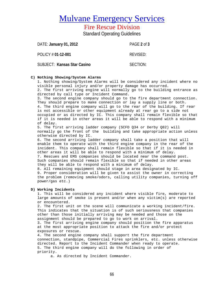Fire Rescue Division Standard Operating Guidelines

DATE: **January 01, 2012** PAGE **2** of **3** POLICY # **01-12-001** REVISED: SUBJECT: Kansas Star Casino SECTION:

#### **C) Nothing Showing/System Alarms**

1. Nothing showing/System Alarms will be considered any incident where no visible personal injury and/or property damage has occurred. 2. The first arriving engine will normally go to the building entrance as

directed by call type or Incident Command. 3. The second engine company should go to the fire department connection. They should prepare to make connection or lay a supply line or both. 4. The third engine company will go to the rear of the building. If rear is not accessible or other equipment already at rear go to a side not occupied or as directed by IC. This company shall remain flexible so that if it is needed in other areas it will be able to respond with a minimum

of delay.

5. The first arriving ladder company (SCFD Q34 or Derby Q82) will normally go the front of the building and take appropriate action unless otherwise directed by IC.

6. The second arriving ladder company shall take a position that will enable them to operate with the third engine company in the rear of the incident. This company shall remain flexible so that if it is needed in other areas it will be able to respond with a minimum of delay. 7. Rescues and EMS companies should be located near the command post. Such companies should remain flexible so that if needed in other areas they will be able to respond with a minimum of delay.

8. All remaining equipment should stage in area designated by IC. 9. Proper consideration will be given to assist the owner in correcting the problem (removing smoke/odors, calling utility companies, turning off power/gas etc.)

#### **D) Working Incidents**

1. This will be considered any incident where visible fire, moderate to large amounts of smoke is present and/or when any victim(s) are reported or encountered.

2. The first unit on the scene will communicate a working incident/fire. This indicates that the situation is of such seriousness that companies other than those initially arriving may be needed and those on the assignment should be prepared to go to work on arrival.

3. The first arriving engine company should position the fire apparatus at the most appropriate position to attack the fire and/or protect exposures or rescue.

4. The second engine company shall support the fire department connection, standpipe, Commercial Fires sprinklers, etc. unless otherwise directed. Report to the Incident Commander when ready to operate. 5. The third engine company will do the following in order of priority.

a. As directed by Incident Commander.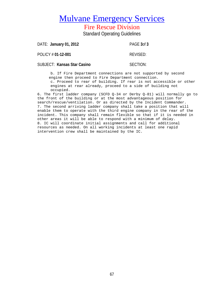# Fire Rescue Division

Standard Operating Guidelines

| DATE: January 01, 2012      | PAGE 3of 3 |
|-----------------------------|------------|
| POLICY # 01-12-001          | REVISED:   |
| SUBJECT: Kansas Star Casino | SECTION:   |

b. If Fire Department connections are not supported by second engine then proceed to Fire Department connection. c. Proceed to rear of building. If rear is not accessible or other engines at rear already, proceed to a side of building not occupied.

6. The first ladder company (SCFD Q-34 or Derby Q-81) will normally go to the front of the building or at the most advantageous position for search/rescue/ventilation. Or as directed by the Incident Commander. 7. The second arriving ladder company shall take a position that will enable them to operate with the third engine company in the rear of the incident. This company shall remain flexible so that if it is needed in other areas it will be able to respond with a minimum of delay. 8. IC will coordinate initial assignments and call for additional resources as needed. On all working incidents at least one rapid intervention crew shall be maintained by the IC.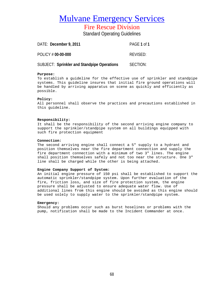Fire Rescue Division

Standard Operating Guidelines

| DATE: December 9, 2011 | PAGE 1 of 1 |
|------------------------|-------------|
| POLICY # 00-00-000     | REVISED:    |

SUBJECT: Sprinkler and Standpipe Operations **SECTION:** 

#### **Purpose:**

To establish a guideline for the effective use of sprinkler and standpipe systems. This guideline insures that initial fire ground operations will be handled by arriving apparatus on scene as quickly and efficiently as possible.

#### **Policy:**

All personnel shall observe the practices and precautions established in this guideline.

#### **Responsibility:**

It shall be the responsibility of the second arriving engine company to support the sprinkler/standpipe system on all buildings equipped with such fire protection equipment

#### **Connection:**

The second arriving engine shall connect a 5" supply to a hydrant and position themselves near the fire department connection and supply the fire department connection with a minimum of two 3" lines. The engine shall position themselves safely and not too near the structure. One 3" line shall be charged while the other is being attached.

#### **Engine Company Support of System:**

An initial engine pressure of 150 psi shall be established to support the automatic sprinkler/standpipe system. Upon further evaluation of the fire, friction loss, and size of fire protection system, the engine pressure shall be adjusted to ensure adequate water flow. Use of additional lines from this engine should be avoided as this engine should be used solely to supply water to the sprinkler/standpipe system.

#### **Emergency:**

Should any problems occur such as burst hoselines or problems with the pump, notification shall be made to the Incident Commander at once.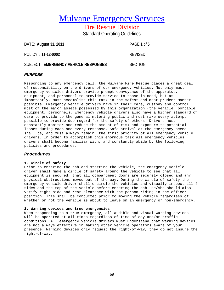Fire Rescue Division Standard Operating Guidelines

DATE: **August 31, 2011** PAGE **1** of **5** POLICY # **11-12-0002** REVISED: SUBJECT: EMERGENCY VEHICLE RESPONSES SECTION:

#### *PURPOSE*

Responding to any emergency call, the Mulvane Fire Rescue places a great deal of responsibility on the drivers of our emergency vehicles. Not only must emergency vehicles drivers provide prompt conveyance of the apparatus, equipment, and personnel to provide service to those in need, but as importantly, must accomplish this task in the safest and most prudent manner possible. Emergency vehicle drivers have in their care, custody and control most of the major assets possessed by this organization (the vehicle, portable equipment, personnel). Emergency vehicle drivers also have a higher standard of care to provide to the general motoring public and must make every attempt possible to provide due regard for the safety of others. Drivers must constantly monitor and reduce the amount of risk and exposure to potential losses during each and every response. Safe arrival at the emergency scene shall be, and must always remain, the first priority of all emergency vehicle drivers. In order to accomplish this enormous task all emergency vehicles drivers shall become familiar with, and constantly abide by the following policies and procedures.

#### *Procedures*

#### **1. Circle of safety**

Prior to entering the cab and starting the vehicle, the emergency vehicle driver shall make a circle of safety around the vehicle to see that all equipment is secured, that all compartment doors are securely closed and any physical obstructions moved out of the way. During the circle of safety the emergency vehicle driver shall encircle the vehicles and visually inspect all 4 sides and the top of the vehicle before entering the cab. He/she should also verify right side and rear clearance with the person riding in the officer position. This shall be conducted prior to moving the vehicle regardless of whether or not the vehicle is about to leave on an emergency or non-emergency.

#### **2. Warning devices and true emergencies**

When responding to a true emergency, all audible and visual warning devices will be operated at all times regardless of time of day and/or traffic conditions. All emergency vehicle drivers must understand that warning devices are not always effective in making other vehicle operators aware of your presence. Warning devices only request the right-of-way, they do not insure the right-of-way.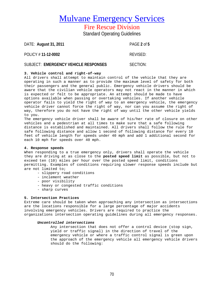### Fire Rescue Division

Standard Operating Guidelines

| DATE: August 31, 2011 | PAGE 2 of 5 |
|-----------------------|-------------|
| POLICY # 11-12-0002   | REVISED:    |

### SUBJECT: EMERGENCY VEHICLE RESPONSES SECTION:

### **3. Vehicle control and right-of-way**

All drivers shall attempt to maintain control of the vehicle that they are operating in such a manner as to provide the maximum level of safety for both their passengers and the general public. Emergency vehicle drivers should be aware that the civilian vehicle operators may not react in the manner in which is expected or felt to be appropriate. An attempt should be made to have options available when passing or overtaking vehicles. If another vehicle operator fails to yield the right of way to an emergency vehicle, the emergency vehicle driver cannot force the right of way, nor can you assume the right of way, therefore you do not have the right of way until the other vehicle yields to you.

The emergency vehicle driver shall be aware of his/her rate of closure on other vehicles and a pedestrian at all times to make sure that a safe following distance is established and maintained. All drivers shall follow the rule for safe following distance and allow 1 second of following distance for every 10 feet of vehicle length for speeds under 40 mph and add 1 additional second for each 10 mph for speeds over 40 mph.

#### **4. Response speeds**

When responding to a true emergency only, drivers shall operate the vehicle they are driving at as close to the **posted speed limit** as possible, but not to exceed ten (10) miles per hour over the posted speed limit, conditions permitting. Examples of conditions requiring slower response speeds include but are not limited to;

- slippery road conditions
- inclement weather
- poor visibility
- heavy or congested traffic conditions
- sharp curves

#### **5. Intersection Practices**

Extreme care should be taken when approaching any intersection as intersections are the locations responsible for a large percentage of major accidents involving emergency vehicles. Drivers are required to practice the organizations intersection operating guidelines during all emergency responses.

#### *Uncontrolled intersections*

Any intersection that does not offer a control device (stop sign, yield or traffic signal) in the direction of travel of the emergency vehicle or where a traffic control signal is green upon the approach of the emergency vehicle all emergency vehicle drivers should do the following: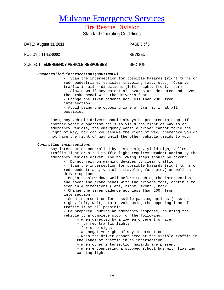Fire Rescue Division

Standard Operating Guidelines

DATE: **August 31, 2011** PAGE **3** of **5**

POLICY # **11-12-0002** REVISED:

SUBJECT: EMERGENCY VEHICLE RESPONSES SECTION:

#### *Uncontrolled intersections(CONTINUED)*

- Scan the intersection for possible hazards (right turns on red, pedestrians, vehicles traveling fast, etc.). Observe traffic in all 4 directions (left, right, front, rear) - Slow down if any potential hazards are detected and cover the brake pedal with the driver's foot. - Change the siren cadence not less than 200' from intersection - Avoid using the opposing lane of traffic if at all possible.

Emergency vehicle drivers should always be prepared to stop. If another vehicle operator fails to yield the right of way to an emergency vehicle, the emergency vehicle driver cannot force the right of way, nor can you assume the right of way, therefore you do not have the right of way until the other vehicle yields to you.

#### *Controlled intersections*

Any intersection controlled by a stop sign, yield sign, yellow traffic light or a red traffic light requires **Prudent Action** by the emergency vehicle driver. The following steps should be taken:

- Do not rely on warning devices to clear traffic - Scan the intersection for possible hazards (right turns on

red, pedestrians, vehicles traveling fast etc.) as well as driver options

- Begin to slow down well before reaching the intersection and cover the brake pedal with the drivers foot, continue to scan in 4 directions (left, right, front,, back) - Change the siren cadence not less than 200' from intersection

- Scan intersection for possible passing options (pass on right, left, wait, etc.) avoid using the opposing lane of traffic if at all possible

- Be prepared, during an emergency response, to bring the vehicle to a complete stop for the following:

– when directed by a law enforcement officer

- for red traffic lights
- for stop signs
- at negative right-of-way intersections

– when the driver cannot account for visible traffic in the lanes of traffic in an intersection

– when other intersection hazards are present

– when encountering a stopped school bus with flashing warning lights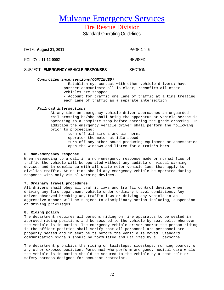Fire Rescue Division Standard Operating Guidelines

DATE: **August 31, 2011** PAGE **4** of **5**

POLICY # **11-12-0002** REVISED:

SUBJECT: **EMERGENCY VEHICLE RESPONSES** SECTION:

#### *Controlled intersections(CONTINUED)*

- Establish eye contact with other vehicle drivers; have partner communicate all is clear; reconfirm all other vehicles are stopped

- Account for traffic one lane of traffic at a time treating each lane of traffic as a separate intersection

#### *Railroad intersections*

At any time an emergency vehicle driver approaches an unguarded rail crossing he/she shall bring the apparatus or vehicle he/she is operating to a complete stop before entering the grade crossing. In addition the emergency vehicle driver shall perform the following prior to proceeding:

- turn off all sirens and air horns
- operator the motor at idle speed
- turn off any other sound producing equipment or accessories
- open the windows and listen for a train's horn

#### **6. Non-emergency response**

When responding to a call in a non-emergency response mode or normal flow of traffic the vehicle will be operated without any audible or visual warning devices and in compliance with all state motor vehicle laws that apply to civilian traffic. At no time should any emergency vehicle be operated during response with only visual warning devices.

#### **7. Ordinary travel procedures**

All drivers shall obey all traffic laws and traffic control devices when driving any fire department vehicle under ordinary travel conditions. Any driver observed breaking any traffic laws or driving any vehicle in an aggressive manner will be subject to disciplinary action including, suspension of driving privileges.

#### **8. Riding policy**

The department requires all persons riding on fire apparatus to be seated in approved riding positions and be secured to the vehicle by seat belts whenever the vehicle is in motion. The emergency vehicle driver and/or the person riding in the officer position shall verify that all personnel are personnel are properly seated and in seat belts before the vehicle is moved. Standard communication signals should be formulated and utilized by all personnel.

The department prohibits the riding on tailsteps, sidesteps, running boards, or any other exposed position. Personnel who perform emergency medical care while the vehicle is in motion should be secured to the vehicle by a seat belt or safety harness designed for occupant restraint.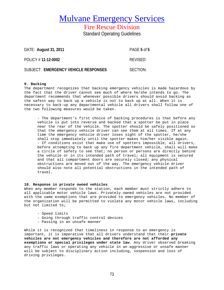Fire Rescue Division Standard Operating Guidelines

| DATE: August 31, 2011                | PAGE 5 of 5 |
|--------------------------------------|-------------|
| POLICY # 11-12-0002                  | REVISED:    |
| SUBJECT: EMERGENCY VEHICLE RESPONSES | SECTION:    |

#### **9. Backing**

The department recognizes that backing emergency vehicles is made hazardous by the fact that the driver cannot see much of where he/she intends to go. The department recommends that whenever possible drivers should avoid backing as the safest way to back up a vehicle is not to back up at all. When it is necessary to back-up any departmental vehicle all drivers shall follow one of the two following measures would be taken.

- The department's first choice of backing procedures is that before any vehicle is put into reverse and backed that a spotter be put in place near the rear of the vehicle. The spotter should be safely positioned so that the emergency vehicle driver can see them at all times. If at any time the emergency vehicle driver loses sight of the spotter, he/she shall stop immediately until the spotter makes him/her visible again. - If conditions exist that make use of spotters impossible, all drivers, before attempting to back up any fire department vehicle, shall will make a circle of safety to see that; no person or persons are directly behind the vehicle or in its intended path of travel; all equipment is secured and that all compartment doors are securely closed; any physical obstructions are moved out of the way. The emergency vehicle driver should also note all potential obstructions in the intended path of travel.

#### **10. Response in private owned vehicles**

When any member responds to the station, each member must strictly adhere to all applicable motor vehicle laws. Privately owned vehicles are not provided with the same exemptions that are provided to emergency vehicles. No member of the organization will be permitted to violate any motor vehicle laws, including but not limited to;

- Speed limits
- Going through traffic control devices
- Passing in an unsafe manner

While it is recognized that timeliness in response to an emergency is important, it is imperative that all drivers understand that their **private vehicles are not emergency vehicles and therefore are not afforded any exemptions or special privileges under state law**. Any driver observed breaking any traffic laws or operating any vehicle in an aggressive or unsafe manner will be subject to disciplinary action including, suspension and loss of driving privileges.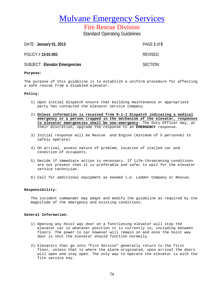Fire Rescue Division Standard Operating Guidelines

DATE: **January 01, 2013** PAGE **1** of **5**

POLICY # **13-01-001** REVISED:

SUBJECT: Elevator Emergencies **SECTION:** SECTION:

#### **Purpose:**

The purpose of this guideline is to establish a uniform procedure for affecting a safe rescue from a disabled elevator.

#### **Policy:**

- 1) Upon initial dispatch ensure that building maintenance or appropriate party has contacted the elevator service company.
- 2) **Unless information is received from 9-1-1 Dispatch indicating a medical emergency or a person trapped in the mechanism of the elevator, responses to elevator emergencies shall be non-emergency**. The Duty Officer may, at their discretion, upgrade the response to an **EMERGENCY** response.
- 3) Initial response will be Rescue and Engine (minimum of 5 personnel to safely operate)
- 4) On arrival, assess nature of problem, location of stalled car and condition of occupants.
- 5) Decide if immediate action is necessary. If life-threatening conditions are not present then it is preferable and safer to wait for the elevator service technician.
- 6) Call for additional equipment as needed i.e. Ladder Company or Rescue.

#### **Responsibility:**

The incident commander may adapt and modify the guideline as required by the magnitude of the emergency and existing conditions.

#### **General Information:**

- 1) Opening any hoist way door on a functioning elevator will stop the elevator car in whatever position it is currently in, including between floors. The power to car however will remain on and once the hoist way door is shut the elevator should function normally.
- 2) Elevators that go into "Fire Service" generally return to the first floor, unless that is where the alarm originated, upon arrival the doors will open and stay open. The only way to operate the elevator is with the fire service key.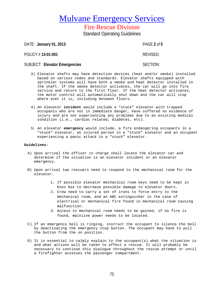Fire Rescue Division Standard Operating Guidelines

DATE: **January 01, 2013** PAGE **2** of **5** POLICY # **13-01-001** REVISED: SUBJECT: Elevator Emergencies **SECTION:** SECTION:

- 3) Elevator shafts may have detection devices (heat and/or smoke) installed based on various codes and standards. Elevator shafts equipped with sprinkler systems will have both a smoke and heat detector installed in the shaft. If the smoke detector activates, the car will go into fire service and return to the first floor. If the heat detector activates, the motor control will automatically shut down and the car will stop where ever it is, including between floors.
- 4) An elevator **incident** would include a "stuck" elevator with trapped occupants who are not in immediate danger, have suffered no evidence of injury and are not experiencing any problems due to an existing medical condition (i.e., cardiac related, diabetes, etc).
- 5) An elevator **emergency** would include, a fire endangering occupants in a "stuck" elevator, an injured person in a "stuck" elevator and an occupant experiencing a panic attack in a "stuck" elevator.

#### **Guidelines:**

- A) Upon arrival the officer in charge shall locate the elevator car and determine if the situation is an elevator incident or an elevator emergency.
- B) Upon arrival two rescuers need to respond to the mechanical room for the elevator.
	- 1. If possible elevator mechanical room keys need to be kept in Knox box to decrease possible damage to elevator doors.
	- 2. Crew need to carry a set of irons to force entry to the mechanical room, and an ABC extinguisher in the case of electrical or mechanical fire found in mechanical room causing malfunction.
	- 3. Access to mechanical room needs to be gained, if no fire is found, mainline power needs to be located.
- C) If an emergency bell is ringing, instruct the occupant to silence the bell by deactivating the emergency stop button. The occupant may have to pull the button from the on position.
- D) It is essential to calmly explain to the occupant(s) what the situation is and what actions will be taken to affect a rescue. It will probably be necessary to continue this dialogue throughout the rescue attempt or until a firefighter accesses the passenger compartment.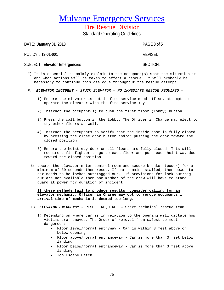Fire Rescue Division

Standard Operating Guidelines

DATE: **January 01, 2013** PAGE **3** of **5**

POLICY # **13-01-001** REVISED:

SUBJECT: Elevator Emergencies **SECTION:** SECTION:

- E) It is essential to calmly explain to the occupant(s) what the situation is and what actions will be taken to affect a rescue. It will probably be necessary to continue this dialogue throughout the rescue attempt.
- *F) ELEVATOR INCIDENT* **-** *STUCK ELEVATOR – NO IMMEDIATE RESCUE REQUIRED –*
	- 1) Ensure the elevator is not in fire service mood. If so, attempt to operate the elevator with the fire service key.
	- 2) Instruct the occupant(s) to push the first floor (lobby) button.
	- 3) Press the call button in the lobby. The Officer in Charge may elect to try other floors as well.
	- 4) Instruct the occupants to verify that the inside door is fully closed by pressing the close door button and/or pushing the door toward the closed position.
	- 5) Ensure the hoist way door on all floors are fully closed. This will require a firefighter to go to each floor and push each hoist way door toward the closed position.
	- 6) Locate the elevator motor control room and secure breaker (power) for a minimum of 30 seconds then reset. If car remains stalled, then power to car needs to be locked out/tagged out. If provisions for lock out/tag out are not available then one member of the crew will have to stand guard at power for duration of incident

**If these methods fail to produce results, consider calling for an elevator mechanic. Officer in Charge may opt to remove occupants if arrival time of mechanic is deemed too long.** 

- E) *ELEVATOR EMERGENCY*  RESCUE REQUIRED Start technical rescue team.
	- 1) Depending on where car is in relation to the opening will dictate how victims are removed. The Order of removal from safest to most dangerous:
		- Floor level/normal entryway Car is within 3 feet above or below opening
		- Floor above/normal entranceway Car is more than 3 feet below landing
		- Floor below/normal entranceway Car is more than 3 feet above landing
		- Top Escape Hatch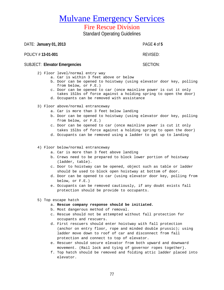77

# Mulvane Emergency Services

## Fire Rescue Division

Standard Operating Guidelines

DATE: **January 01, 2013** PAGE **4** of **5**

POLICY # **13-01-001** REVISED:

## SUBJECT: Elevator Emergencies **SECTION:** SECTION:

- 2) Floor level/normal entry way
	- a. Car is within 3 feet above or below
	- b. Door can be opened to hoistway (using elevator door key, polling from below, or F.E.)
	- c. Door can be opened to car (once mainline power is cut it only takes 15lbs of force against a holding spring to open the door)
	- d. Occupants can be removed with assistance
- 3) Floor above/normal entranceway
	- a. Car is more than 3 feet below landing
	- b. Door can be opened to hoistway (using elevator door key, polling from below, or F.E.)
	- c. Door can be opened to car (once mainline power is cut it only takes 15lbs of force against a holding spring to open the door)
	- d. Occupants can be removed using a ladder to get up to landing

### 4) Floor below/normal entranceway

- a. Car is more than 3 feet above landing
- b. Crews need to be prepared to block lower portion of hoistway (ladder, table).
- c. Door to hoistway can be opened, object such as table or ladder should be used to block open hoistway at bottom of door.
- d. Door can be opened to car (using elevator door key, polling from below, or F.E.)
- e. Occupants can be removed cautiously, if any doubt exists fall protection should be provide to occupants.
- 5) Top escape hatch

### a. **Rescue company response should be initiated.**

- b. Most dangerous method of removal.
- c. Rescue should not be attempted without fall protection for occupants and rescuers.
- d. First rescuers should enter hoistway with fall protection (anchor on entry floor, rope and minded double prussic); using ladder move down to roof of car and disconnect from fall protection and connect to top of elevator.
- e. Rescuer should secure elevator from both upward and downward movement. (Rail lock and tying of governor ropes together).
- f. Top hatch should be removed and folding attic ladder placed into elevator.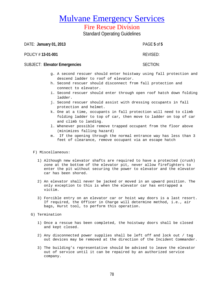## Fire Rescue Division

Standard Operating Guidelines

DATE: **January 01, 2013** PAGE **5** of **5**

POLICY # **13-01-001** REVISED:

## SUBJECT: Elevator Emergencies **SECTION:**

- g. A second rescuer should enter hoistway using fall protection and descend ladder to roof of elevator.
- h. Second rescuer should disconnect from fall protection and connect to elevator.
- i. Second rescuer should enter through open roof hatch down folding ladder.
- j. Second rescuer should assist with dressing occupants in fall protection and helmet.
- k. One at a time, occupants in fall protection will need to climb folding ladder to top of car, then move to ladder on top of car and climb to landing.
- l. Whenever possible remove trapped occupant from the floor above (minimizes falling hazard)
- m. If the opening through the normal entrance way has less than 3 feet of clearance, remove occupant via an escape hatch

#### F) Miscellaneous:

- 1) Although new elevator shafts are required to have a protected (crush) zone at the bottom of the elevator pit, never allow firefighters to enter the pit without securing the power to elevator and the elevator car has been shored.
- 2) An elevator shall never be jacked or moved in an upward position. The only exception to this is when the elevator car has entrapped a victim.
- 3) Forcible entry on an elevator car or hoist way doors is a last resort. If required, the Officer in Charge will determine method, i.e., air bags, Hurst tool, to perform this operation.
- G) Termination
	- 1) Once a rescue has been completed, the hoistway doors shall be closed and kept closed.
	- 2) Any disconnected power supplies shall be left off and lock out / tag out devices may be removed at the direction of the Incident Commander.
	- 3) The building's representative should be advised to leave the elevator out of service until it can be repaired by an authorized service company.